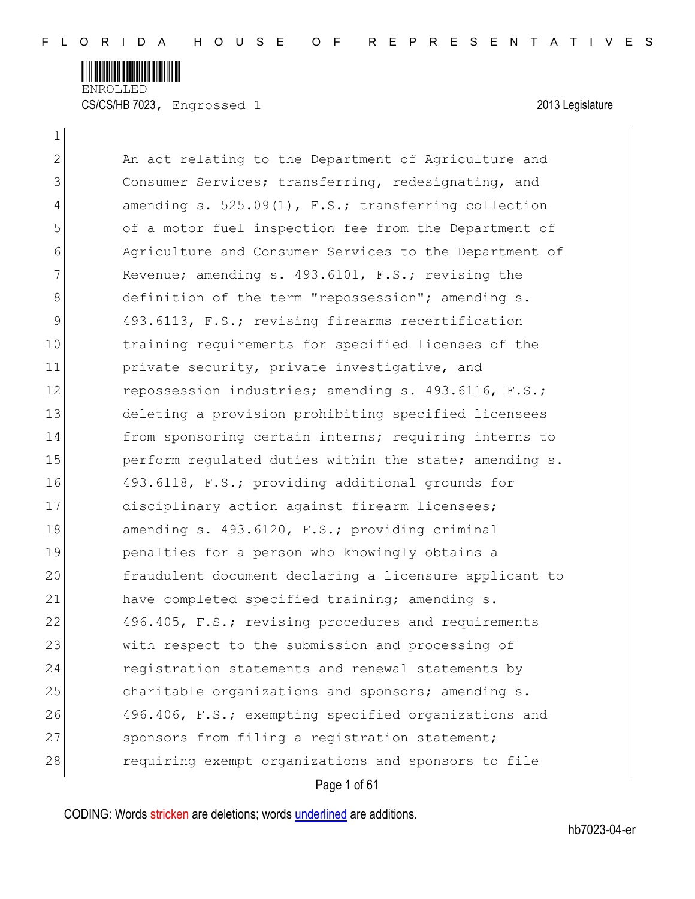

CS/CS/HB 7023, Engrossed 1 2013 Legislature

 $\mathbf{1}$ 

|                | Page 1 of 61                                            |
|----------------|---------------------------------------------------------|
| 28             | requiring exempt organizations and sponsors to file     |
| 27             | sponsors from filing a registration statement;          |
| 26             | 496.406, F.S.; exempting specified organizations and    |
| 25             | charitable organizations and sponsors; amending s.      |
| 24             | registration statements and renewal statements by       |
| 23             | with respect to the submission and processing of        |
| 22             | 496.405, F.S.; revising procedures and requirements     |
| 21             | have completed specified training; amending s.          |
| 20             | fraudulent document declaring a licensure applicant to  |
| 19             | penalties for a person who knowingly obtains a          |
| 18             | amending s. 493.6120, F.S.; providing criminal          |
| 17             | disciplinary action against firearm licensees;          |
| 16             | 493.6118, F.S.; providing additional grounds for        |
| 15             | perform regulated duties within the state; amending s.  |
| 14             | from sponsoring certain interns; requiring interns to   |
| 13             | deleting a provision prohibiting specified licensees    |
| 12             | repossession industries; amending s. 493.6116, F.S.;    |
| 11             | private security, private investigative, and            |
| 10             | training requirements for specified licenses of the     |
| $\mathcal{G}$  | 493.6113, F.S.; revising firearms recertification       |
| 8              | definition of the term "repossession"; amending s.      |
| 7              | Revenue; amending s. 493.6101, F.S.; revising the       |
| 6              | Agriculture and Consumer Services to the Department of  |
| 5              | of a motor fuel inspection fee from the Department of   |
| $\overline{4}$ | amending $s. 525.09(1)$ , F.S.; transferring collection |
| 3              | Consumer Services; transferring, redesignating, and     |
| 2              | An act relating to the Department of Agriculture and    |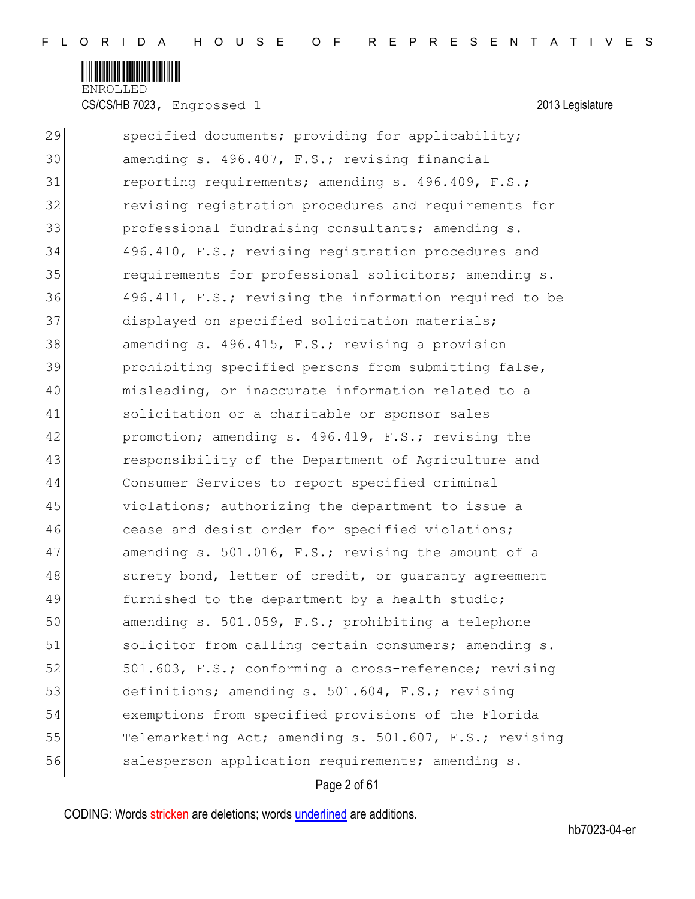

CS/CS/HB 7023, Engrossed 1 2013 Legislature

| 29 | specified documents; providing for applicability;      |
|----|--------------------------------------------------------|
| 30 | amending s. 496.407, F.S.; revising financial          |
| 31 | reporting requirements; amending s. 496.409, F.S.;     |
| 32 | revising registration procedures and requirements for  |
| 33 | professional fundraising consultants; amending s.      |
| 34 | 496.410, F.S.; revising registration procedures and    |
| 35 | requirements for professional solicitors; amending s.  |
| 36 | 496.411, F.S.; revising the information required to be |
| 37 | displayed on specified solicitation materials;         |
| 38 | amending s. 496.415, F.S.; revising a provision        |
| 39 | prohibiting specified persons from submitting false,   |
| 40 | misleading, or inaccurate information related to a     |
| 41 | solicitation or a charitable or sponsor sales          |
| 42 | promotion; amending s. 496.419, F.S.; revising the     |
| 43 | responsibility of the Department of Agriculture and    |
| 44 | Consumer Services to report specified criminal         |
| 45 | violations; authorizing the department to issue a      |
| 46 | cease and desist order for specified violations;       |
| 47 | amending s. 501.016, F.S.; revising the amount of a    |
| 48 | surety bond, letter of credit, or guaranty agreement   |
| 49 | furnished to the department by a health studio;        |
| 50 | amending s. 501.059, F.S.; prohibiting a telephone     |
| 51 | solicitor from calling certain consumers; amending s.  |
| 52 | 501.603, F.S.; conforming a cross-reference; revising  |
| 53 | definitions; amending s. 501.604, F.S.; revising       |
| 54 | exemptions from specified provisions of the Florida    |
| 55 | Telemarketing Act; amending s. 501.607, F.S.; revising |
| 56 | salesperson application requirements; amending s.      |
|    |                                                        |

# Page 2 of 61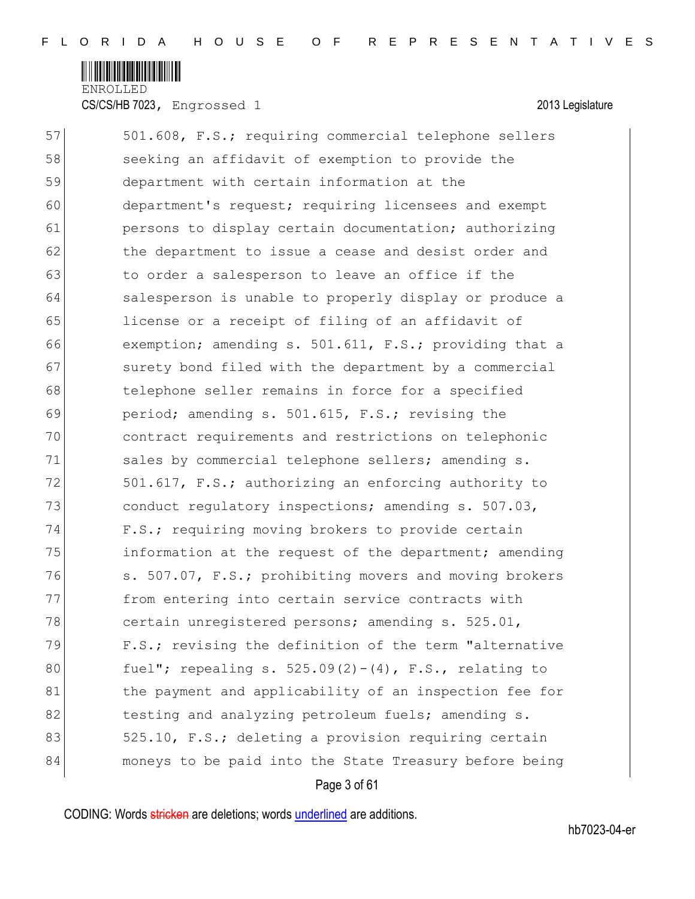

CS/CS/HB 7023, Engrossed 1 2013 Legislature

| 57 | 501.608, F.S.; requiring commercial telephone sellers     |
|----|-----------------------------------------------------------|
| 58 | seeking an affidavit of exemption to provide the          |
| 59 | department with certain information at the                |
| 60 | department's request; requiring licensees and exempt      |
| 61 | persons to display certain documentation; authorizing     |
| 62 | the department to issue a cease and desist order and      |
| 63 | to order a salesperson to leave an office if the          |
| 64 | salesperson is unable to properly display or produce a    |
| 65 | license or a receipt of filing of an affidavit of         |
| 66 | exemption; amending s. 501.611, F.S.; providing that a    |
| 67 | surety bond filed with the department by a commercial     |
| 68 | telephone seller remains in force for a specified         |
| 69 | period; amending s. 501.615, F.S.; revising the           |
| 70 | contract requirements and restrictions on telephonic      |
| 71 | sales by commercial telephone sellers; amending s.        |
| 72 | 501.617, F.S.; authorizing an enforcing authority to      |
| 73 | conduct regulatory inspections; amending s. 507.03,       |
| 74 | F.S.; requiring moving brokers to provide certain         |
| 75 | information at the request of the department; amending    |
| 76 | s. 507.07, F.S.; prohibiting movers and moving brokers    |
| 77 | from entering into certain service contracts with         |
| 78 | certain unregistered persons; amending s. 525.01,         |
| 79 | F.S.; revising the definition of the term "alternative    |
| 80 | fuel"; repealing s. $525.09(2) - (4)$ , F.S., relating to |
| 81 | the payment and applicability of an inspection fee for    |
| 82 | testing and analyzing petroleum fuels; amending s.        |
| 83 | 525.10, F.S.; deleting a provision requiring certain      |
| 84 | moneys to be paid into the State Treasury before being    |
|    |                                                           |

Page 3 of 61

CODING: Words stricken are deletions; words underlined are additions.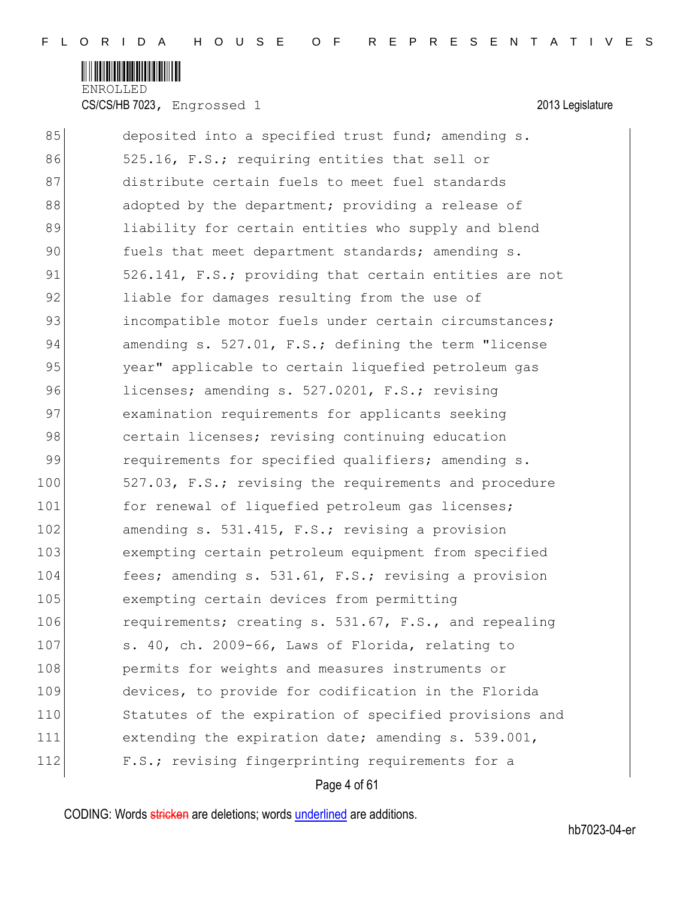

CS/CS/HB 7023, Engrossed 1 2013 Legislature

| 85  | deposited into a specified trust fund; amending s.     |
|-----|--------------------------------------------------------|
| 86  | 525.16, F.S.; requiring entities that sell or          |
| 87  | distribute certain fuels to meet fuel standards        |
| 88  | adopted by the department; providing a release of      |
| 89  | liability for certain entities who supply and blend    |
| 90  | fuels that meet department standards; amending s.      |
| 91  | 526.141, F.S.; providing that certain entities are not |
| 92  | liable for damages resulting from the use of           |
| 93  | incompatible motor fuels under certain circumstances;  |
| 94  | amending s. 527.01, F.S.; defining the term "license   |
| 95  | year" applicable to certain liquefied petroleum qas    |
| 96  | licenses; amending s. 527.0201, F.S.; revising         |
| 97  | examination requirements for applicants seeking        |
| 98  | certain licenses; revising continuing education        |
| 99  | requirements for specified qualifiers; amending s.     |
| 100 | 527.03, F.S.; revising the requirements and procedure  |
| 101 | for renewal of liquefied petroleum gas licenses;       |
| 102 | amending s. 531.415, F.S.; revising a provision        |
| 103 | exempting certain petroleum equipment from specified   |
| 104 | fees; amending s. 531.61, F.S.; revising a provision   |
| 105 | exempting certain devices from permitting              |
| 106 | requirements; creating s. 531.67, F.S., and repealing  |
| 107 | s. 40, ch. 2009-66, Laws of Florida, relating to       |
| 108 | permits for weights and measures instruments or        |
| 109 | devices, to provide for codification in the Florida    |
| 110 | Statutes of the expiration of specified provisions and |
| 111 | extending the expiration date; amending s. 539.001,    |
| 112 | F.S.; revising fingerprinting requirements for a       |
|     | Page 4 of 61                                           |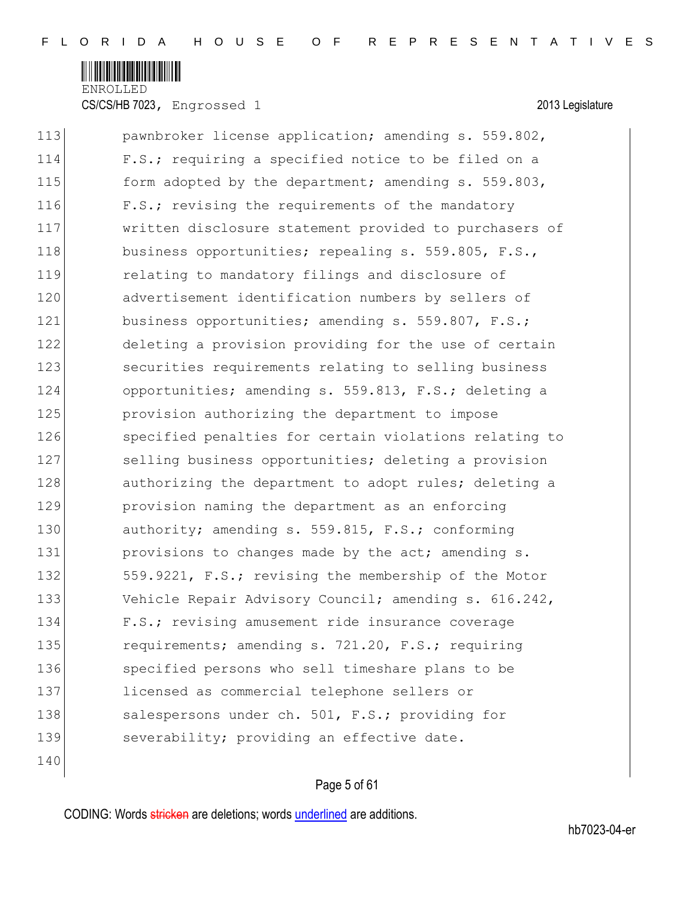

CS/CS/HB 7023, Engrossed 1 2013 Legislature

| 113 | pawnbroker license application; amending s. 559.802,   |
|-----|--------------------------------------------------------|
| 114 | F.S.; requiring a specified notice to be filed on a    |
| 115 | form adopted by the department; amending s. 559.803,   |
| 116 | F.S.; revising the requirements of the mandatory       |
| 117 | written disclosure statement provided to purchasers of |
| 118 | business opportunities; repealing s. 559.805, F.S.,    |
| 119 | relating to mandatory filings and disclosure of        |
| 120 | advertisement identification numbers by sellers of     |
| 121 | business opportunities; amending s. 559.807, F.S.;     |
| 122 | deleting a provision providing for the use of certain  |
| 123 | securities requirements relating to selling business   |
| 124 | opportunities; amending s. 559.813, F.S.; deleting a   |
| 125 | provision authorizing the department to impose         |
| 126 | specified penalties for certain violations relating to |
| 127 | selling business opportunities; deleting a provision   |
| 128 | authorizing the department to adopt rules; deleting a  |
| 129 | provision naming the department as an enforcing        |
| 130 | authority; amending s. 559.815, F.S.; conforming       |
| 131 | provisions to changes made by the act; amending s.     |
| 132 | 559.9221, F.S.; revising the membership of the Motor   |
| 133 | Vehicle Repair Advisory Council; amending s. 616.242,  |
| 134 | F.S.; revising amusement ride insurance coverage       |
| 135 | requirements; amending s. 721.20, F.S.; requiring      |
| 136 | specified persons who sell timeshare plans to be       |
| 137 | licensed as commercial telephone sellers or            |
| 138 | salespersons under ch. 501, F.S.; providing for        |
| 139 | severability; providing an effective date.             |
|     |                                                        |

# Page 5 of 61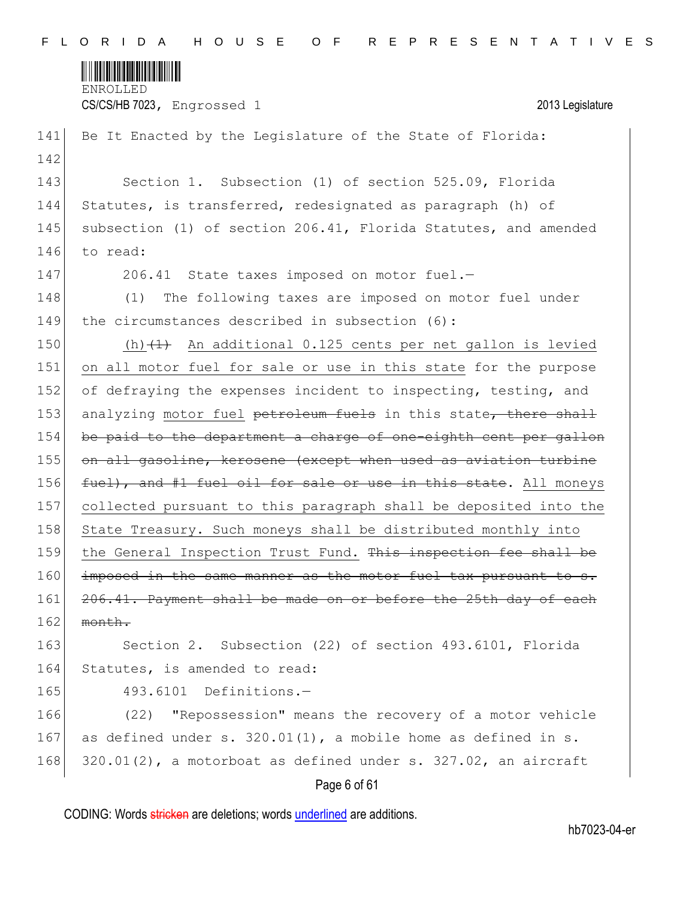

CS/CS/HB 7023, Engrossed 1 2013 Legislature

| 141 | Be It Enacted by the Legislature of the State of Florida:            |
|-----|----------------------------------------------------------------------|
| 142 |                                                                      |
| 143 | Section 1. Subsection (1) of section 525.09, Florida                 |
| 144 | Statutes, is transferred, redesignated as paragraph (h) of           |
| 145 | subsection (1) of section 206.41, Florida Statutes, and amended      |
| 146 | to read:                                                             |
| 147 | 206.41 State taxes imposed on motor fuel.-                           |
| 148 | The following taxes are imposed on motor fuel under<br>(1)           |
| 149 | the circumstances described in subsection (6):                       |
| 150 | (h) $(1)$ An additional 0.125 cents per net gallon is levied         |
| 151 | on all motor fuel for sale or use in this state for the purpose      |
| 152 | of defraying the expenses incident to inspecting, testing, and       |
| 153 | analyzing motor fuel petroleum fuels in this state, there shall      |
| 154 | be paid to the department a charge of one-eighth cent per gallon     |
| 155 | on all gasoline, kerosene (except when used as aviation turbine      |
| 156 | fuel), and #1 fuel oil for sale or use in this state. All moneys     |
| 157 | collected pursuant to this paragraph shall be deposited into the     |
| 158 | State Treasury. Such moneys shall be distributed monthly into        |
| 159 | the General Inspection Trust Fund. This inspection fee shall be      |
| 160 | imposed in the same manner as the motor fuel tax pursuant to s.      |
| 161 | 206.41. Payment shall be made on or before the 25th day of each      |
| 162 | month.                                                               |
| 163 | Section 2. Subsection (22) of section 493.6101, Florida              |
| 164 | Statutes, is amended to read:                                        |
| 165 | Definitions.-<br>493.6101                                            |
| 166 | "Repossession" means the recovery of a motor vehicle<br>(22)         |
| 167 | as defined under s. 320.01(1), a mobile home as defined in s.        |
| 168 | $320.01(2)$ , a motorboat as defined under s. $327.02$ , an aircraft |
|     | Page 6 of 61                                                         |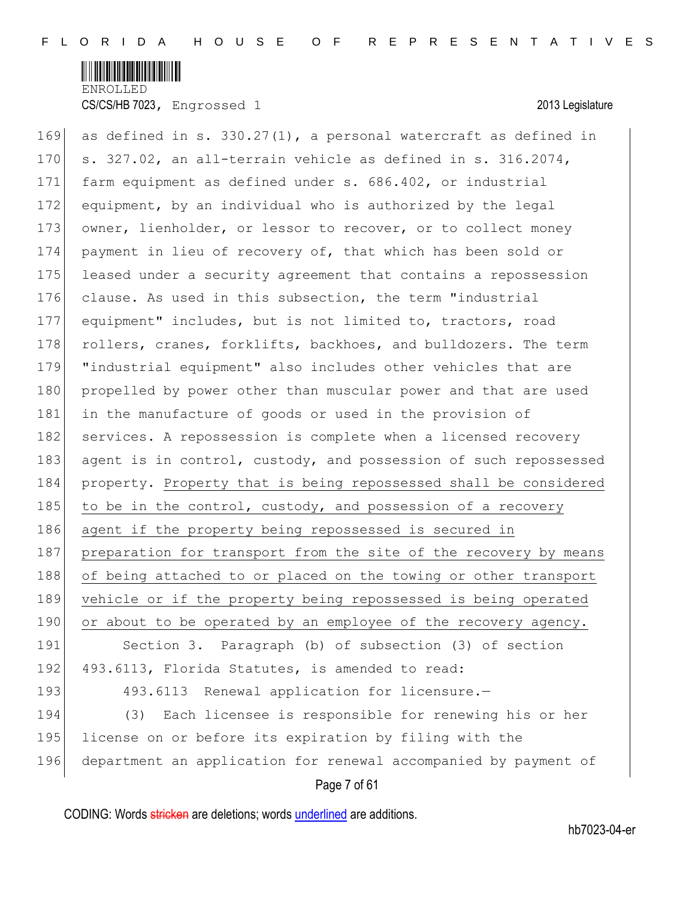

Page 7 of 61 169 as defined in s. 330.27(1), a personal watercraft as defined in 170  $\vert$  s. 327.02, an all-terrain vehicle as defined in s. 316.2074, 171 farm equipment as defined under s. 686.402, or industrial 172 equipment, by an individual who is authorized by the legal 173 owner, lienholder, or lessor to recover, or to collect money 174 payment in lieu of recovery of, that which has been sold or 175 leased under a security agreement that contains a repossession 176 clause. As used in this subsection, the term "industrial 177 equipment" includes, but is not limited to, tractors, road 178 rollers, cranes, forklifts, backhoes, and bulldozers. The term 179 "industrial equipment" also includes other vehicles that are 180 propelled by power other than muscular power and that are used 181 in the manufacture of goods or used in the provision of 182 services. A repossession is complete when a licensed recovery 183 agent is in control, custody, and possession of such repossessed 184 property. Property that is being repossessed shall be considered 185 to be in the control, custody, and possession of a recovery 186 agent if the property being repossessed is secured in 187 preparation for transport from the site of the recovery by means 188 of being attached to or placed on the towing or other transport 189 vehicle or if the property being repossessed is being operated 190 or about to be operated by an employee of the recovery agency. 191 Section 3. Paragraph (b) of subsection (3) of section 192 493.6113, Florida Statutes, is amended to read: 193 493.6113 Renewal application for licensure.-194 (3) Each licensee is responsible for renewing his or her 195 license on or before its expiration by filing with the 196 department an application for renewal accompanied by payment of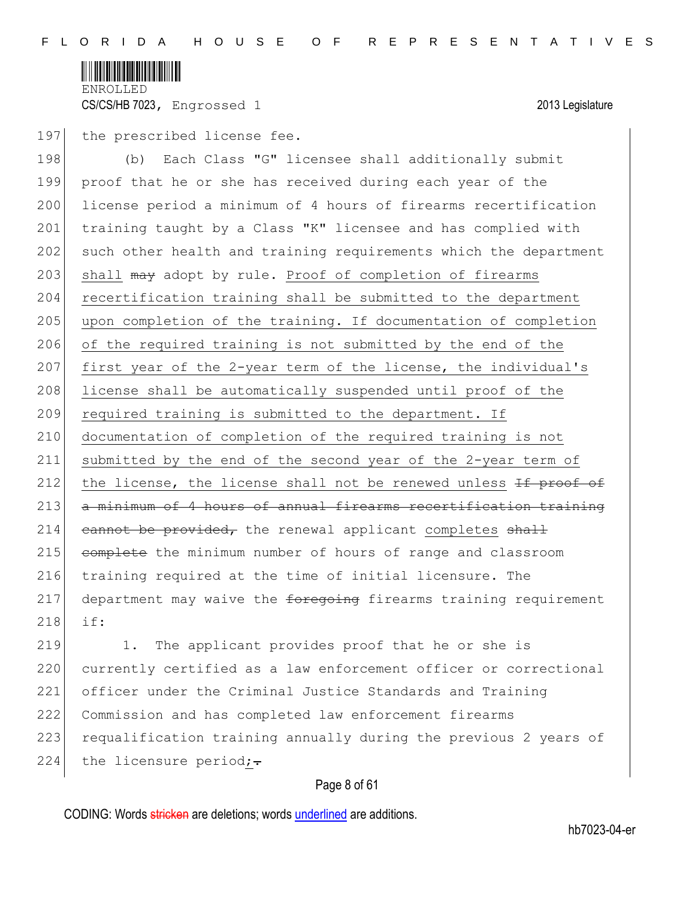

### 197 the prescribed license fee.

198 (b) Each Class "G" licensee shall additionally submit 199 proof that he or she has received during each year of the 200 license period a minimum of 4 hours of firearms recertification 201 training taught by a Class "K" licensee and has complied with 202 such other health and training requirements which the department 203 shall may adopt by rule. Proof of completion of firearms 204 recertification training shall be submitted to the department 205 upon completion of the training. If documentation of completion 206 of the required training is not submitted by the end of the 207 first year of the 2-year term of the license, the individual's 208 license shall be automatically suspended until proof of the 209 required training is submitted to the department. If 210 documentation of completion of the required training is not 211 submitted by the end of the second year of the 2-year term of 212 the license, the license shall not be renewed unless  $H$  proof of 213 a minimum of 4 hours of annual firearms recertification training  $214$  cannot be provided, the renewal applicant completes shall 215 complete the minimum number of hours of range and classroom 216 training required at the time of initial licensure. The  $217$  department may waive the  $f$ oregoing firearms training requirement 218 if:

219 1. The applicant provides proof that he or she is 220 currently certified as a law enforcement officer or correctional 221 officer under the Criminal Justice Standards and Training 222 Commission and has completed law enforcement firearms 223 requalification training annually during the previous 2 years of 224 the licensure period; $\div$ 

# Page 8 of 61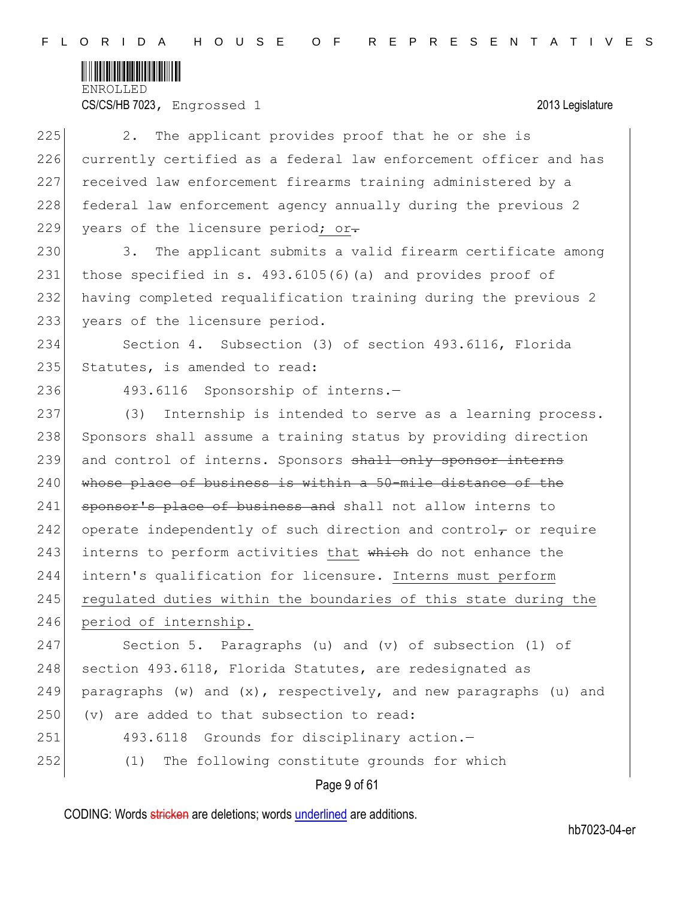

CS/CS/HB 7023, Engrossed 1 2013 Legislature

| 225 | The applicant provides proof that he or she is<br>2.                     |
|-----|--------------------------------------------------------------------------|
| 226 | currently certified as a federal law enforcement officer and has         |
| 227 | received law enforcement firearms training administered by a             |
| 228 | federal law enforcement agency annually during the previous 2            |
| 229 | years of the licensure period; or-                                       |
| 230 | The applicant submits a valid firearm certificate among<br>3.            |
| 231 | those specified in s. 493.6105(6)(a) and provides proof of               |
| 232 | having completed requalification training during the previous 2          |
| 233 | years of the licensure period.                                           |
| 234 | Section 4. Subsection (3) of section 493.6116, Florida                   |
| 235 | Statutes, is amended to read:                                            |
| 236 | 493.6116 Sponsorship of interns.-                                        |
| 237 | Internship is intended to serve as a learning process.<br>(3)            |
| 238 | Sponsors shall assume a training status by providing direction           |
| 239 | and control of interns. Sponsors shall only sponsor interns              |
| 240 | whose place of business is within a 50-mile distance of the              |
| 241 | sponsor's place of business and shall not allow interns to               |
| 242 | operate independently of such direction and control $_{\tau}$ or require |
| 243 | interns to perform activities that which do not enhance the              |
| 244 | intern's qualification for licensure. Interns must perform               |
| 245 | regulated duties within the boundaries of this state during the          |
| 246 | period of internship.                                                    |
| 247 | Section 5. Paragraphs (u) and (v) of subsection (1) of                   |
| 248 | section 493.6118, Florida Statutes, are redesignated as                  |
| 249 | paragraphs (w) and $(x)$ , respectively, and new paragraphs (u) and      |
| 250 | (v) are added to that subsection to read:                                |
| 251 | 493.6118 Grounds for disciplinary action.-                               |
| 252 | The following constitute grounds for which<br>(1)                        |
|     | Page 9 of 61                                                             |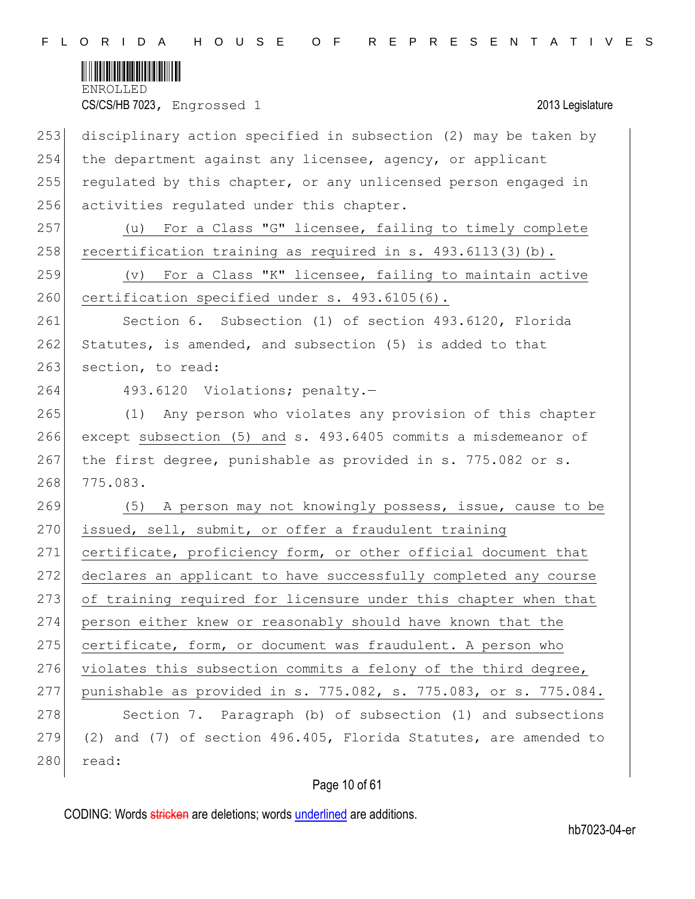

253 disciplinary action specified in subsection (2) may be taken by 254 the department against any licensee, agency, or applicant 255 regulated by this chapter, or any unlicensed person engaged in 256 activities regulated under this chapter. 257 (u) For a Class "G" licensee, failing to timely complete 258 recertification training as required in s.  $493.6113(3)(b)$ . 259  $(v)$  For a Class "K" licensee, failing to maintain active 260 certification specified under s. 493.6105(6). 261 Section 6. Subsection (1) of section 493.6120, Florida  $262$  Statutes, is amended, and subsection (5) is added to that 263 section, to read: 264 493.6120 Violations; penalty.-265 (1) Any person who violates any provision of this chapter 266 except subsection (5) and s. 493.6405 commits a misdemeanor of 267 the first degree, punishable as provided in s. 775.082 or s. 268 775.083. 269 (5) A person may not knowingly possess, issue, cause to be 270 issued, sell, submit, or offer a fraudulent training 271 certificate, proficiency form, or other official document that 272 declares an applicant to have successfully completed any course 273 of training required for licensure under this chapter when that 274 person either knew or reasonably should have known that the 275 certificate, form, or document was fraudulent. A person who 276 violates this subsection commits a felony of the third degree, 277 punishable as provided in s. 775.082, s. 775.083, or s. 775.084. 278 Section 7. Paragraph (b) of subsection (1) and subsections  $279$  (2) and (7) of section 496.405, Florida Statutes, are amended to 280 read:

# Page 10 of 61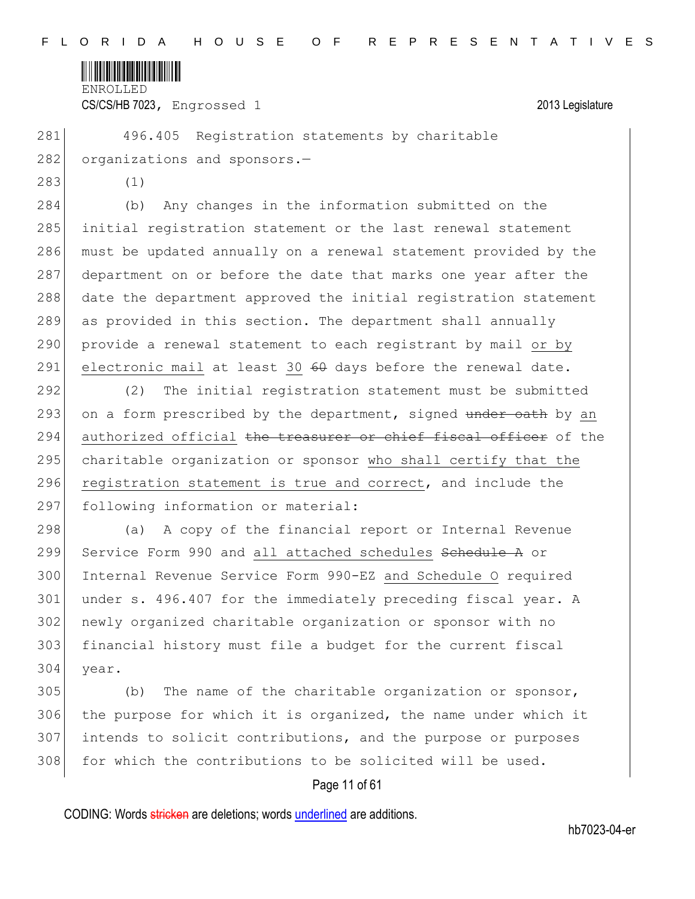

CS/CS/HB 7023, Engrossed 1 2013 Legislature

281 496.405 Registration statements by charitable 282 organizations and sponsors.-

283 (1)

 (b) Any changes in the information submitted on the initial registration statement or the last renewal statement must be updated annually on a renewal statement provided by the 287 department on or before the date that marks one year after the date the department approved the initial registration statement as provided in this section. The department shall annually 290 provide a renewal statement to each registrant by mail or by 291 electronic mail at least 30  $60$  days before the renewal date.

292 (2) The initial registration statement must be submitted 293 on a form prescribed by the department, signed under oath by an 294 authorized official the treasurer or chief fiscal officer of the 295 charitable organization or sponsor who shall certify that the 296 registration statement is true and correct, and include the 297 following information or material:

298 (a) A copy of the financial report or Internal Revenue 299 Service Form 990 and all attached schedules Sehedule A or 300 Internal Revenue Service Form 990-EZ and Schedule O required 301 under s. 496.407 for the immediately preceding fiscal year. A 302 newly organized charitable organization or sponsor with no 303 financial history must file a budget for the current fiscal 304 year.

 (b) The name of the charitable organization or sponsor, the purpose for which it is organized, the name under which it intends to solicit contributions, and the purpose or purposes 308 for which the contributions to be solicited will be used.

# Page 11 of 61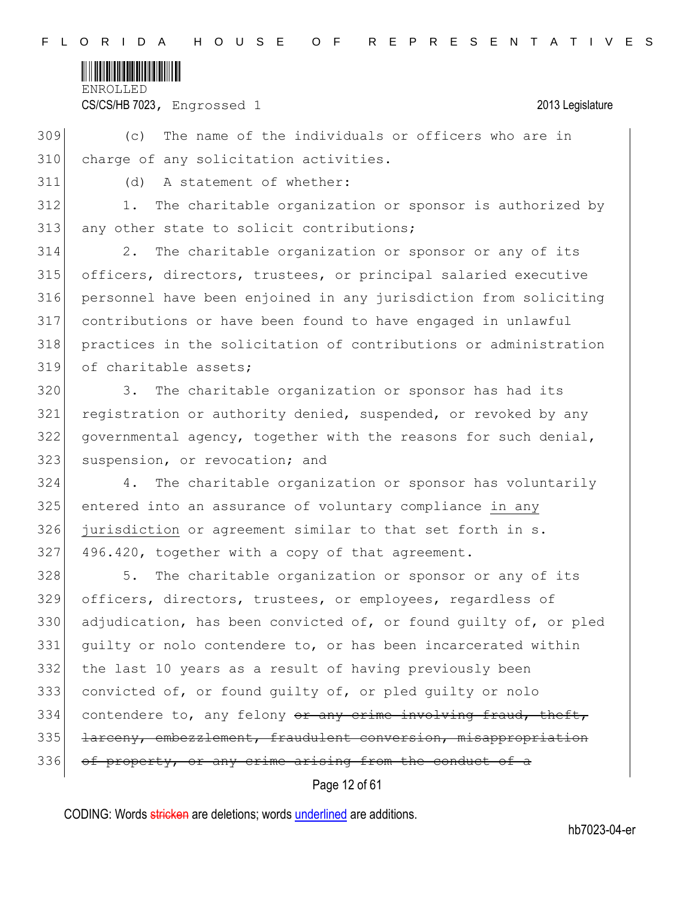

CS/CS/HB 7023, Engrossed 1 2013 Legislature

309 (c) The name of the individuals or officers who are in 310 charge of any solicitation activities.

311 (d) A statement of whether:

312 1. The charitable organization or sponsor is authorized by 313 any other state to solicit contributions;

 2. The charitable organization or sponsor or any of its officers, directors, trustees, or principal salaried executive personnel have been enjoined in any jurisdiction from soliciting contributions or have been found to have engaged in unlawful practices in the solicitation of contributions or administration of charitable assets;

320 3. The charitable organization or sponsor has had its 321 registration or authority denied, suspended, or revoked by any 322 governmental agency, together with the reasons for such denial, 323 suspension, or revocation; and

 4. The charitable organization or sponsor has voluntarily entered into an assurance of voluntary compliance in any jurisdiction or agreement similar to that set forth in s. 496.420, together with a copy of that agreement.

328 5. The charitable organization or sponsor or any of its 329 officers, directors, trustees, or employees, regardless of 330 adjudication, has been convicted of, or found quilty of, or pled 331 guilty or nolo contendere to, or has been incarcerated within 332 the last 10 years as a result of having previously been 333 convicted of, or found guilty of, or pled guilty or nolo  $334$  contendere to, any felony  $\theta$  any crime involving fraud, theft, 335 larceny, embezzlement, fraudulent conversion, misappropriation 336 of property, or any crime arising from the conduct of a

Page 12 of 61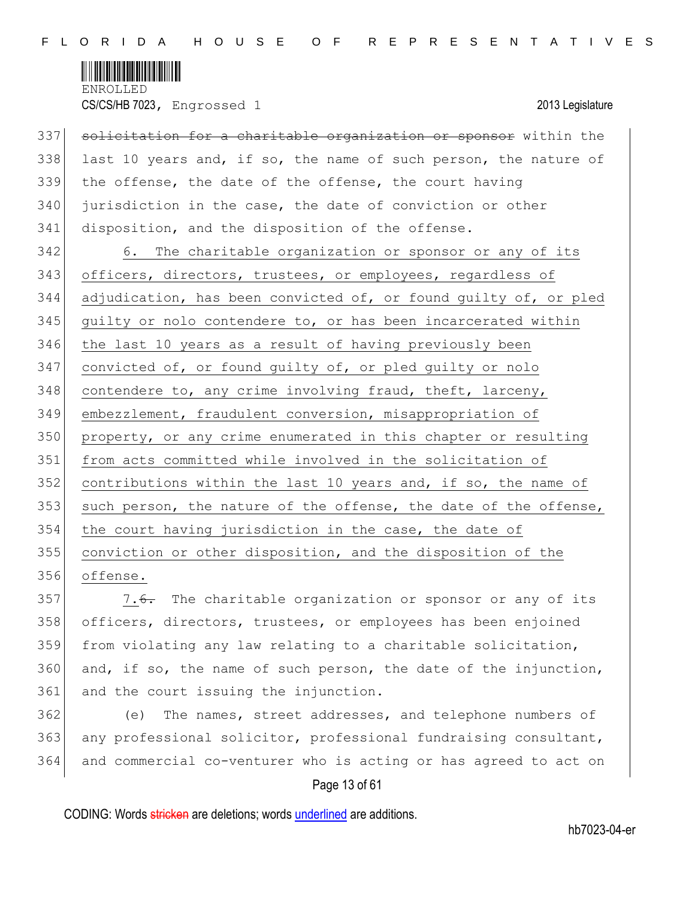

CS/CS/HB 7023, Engrossed 1 2013 Legislature

337 solicitation for a charitable organization or sponsor within the last 10 years and, if so, the name of such person, the nature of the offense, the date of the offense, the court having jurisdiction in the case, the date of conviction or other disposition, and the disposition of the offense.

342 6. The charitable organization or sponsor or any of its 343 officers, directors, trustees, or employees, regardless of 344 adjudication, has been convicted of, or found guilty of, or pled 345 quilty or nolo contendere to, or has been incarcerated within 346 the last 10 years as a result of having previously been 347 convicted of, or found guilty of, or pled guilty or nolo 348 contendere to, any crime involving fraud, theft, larceny, 349 embezzlement, fraudulent conversion, misappropriation of 350 property, or any crime enumerated in this chapter or resulting 351 from acts committed while involved in the solicitation of 352 contributions within the last 10 years and, if so, the name of 353 such person, the nature of the offense, the date of the offense, 354 the court having jurisdiction in the case, the date of 355 conviction or other disposition, and the disposition of the 356 offense.

357  $\sim$  7.<del>6.</del> The charitable organization or sponsor or any of its 358 officers, directors, trustees, or employees has been enjoined 359 from violating any law relating to a charitable solicitation, 360 and, if so, the name of such person, the date of the injunction, 361 and the court issuing the injunction.

362 (e) The names, street addresses, and telephone numbers of 363 any professional solicitor, professional fundraising consultant, 364 and commercial co-venturer who is acting or has agreed to act on

# Page 13 of 61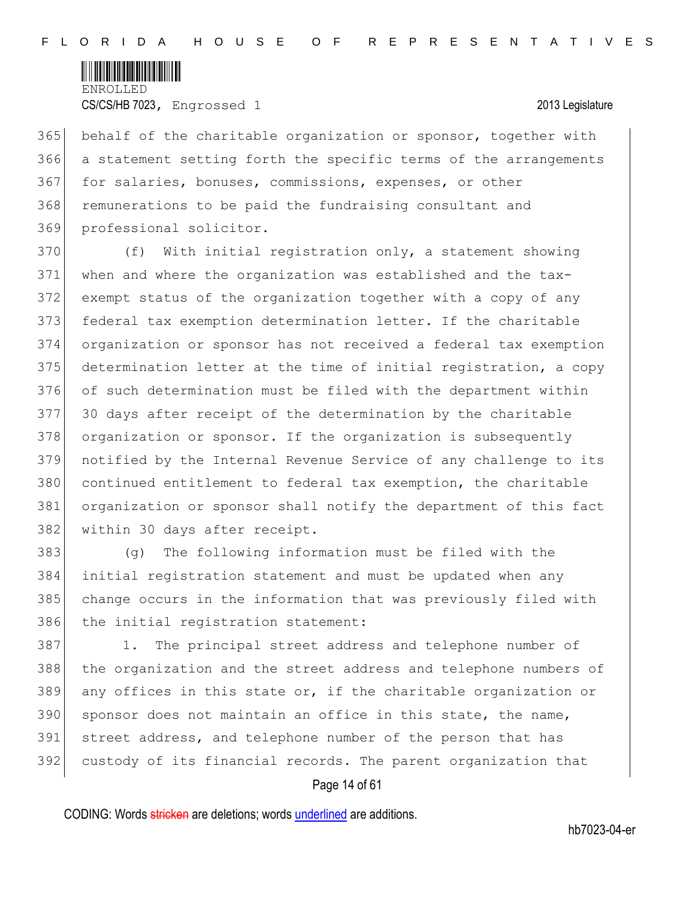

365 behalf of the charitable organization or sponsor, together with 366 a statement setting forth the specific terms of the arrangements 367 for salaries, bonuses, commissions, expenses, or other 368 remunerations to be paid the fundraising consultant and 369 professional solicitor.

 (f) With initial registration only, a statement showing when and where the organization was established and the tax- exempt status of the organization together with a copy of any federal tax exemption determination letter. If the charitable organization or sponsor has not received a federal tax exemption determination letter at the time of initial registration, a copy of such determination must be filed with the department within 30 days after receipt of the determination by the charitable 378 organization or sponsor. If the organization is subsequently notified by the Internal Revenue Service of any challenge to its continued entitlement to federal tax exemption, the charitable organization or sponsor shall notify the department of this fact 382 within 30 days after receipt.

 (g) The following information must be filed with the initial registration statement and must be updated when any change occurs in the information that was previously filed with 386 the initial registration statement:

387 1. The principal street address and telephone number of 388 the organization and the street address and telephone numbers of 389 any offices in this state or, if the charitable organization or 390 sponsor does not maintain an office in this state, the name, 391 street address, and telephone number of the person that has 392 custody of its financial records. The parent organization that

# Page 14 of 61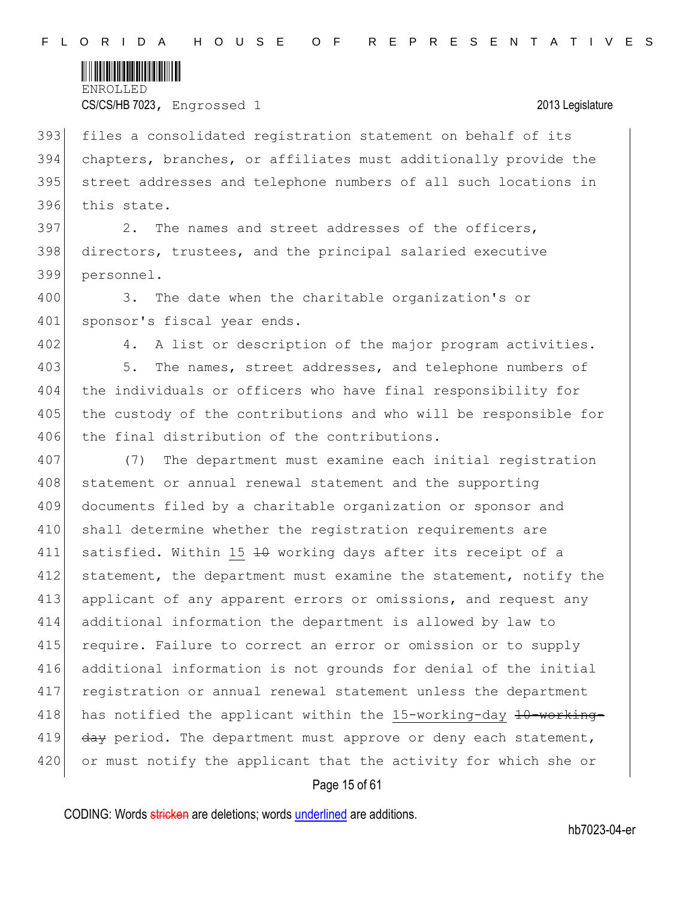

 files a consolidated registration statement on behalf of its chapters, branches, or affiliates must additionally provide the street addresses and telephone numbers of all such locations in this state.

397 2. The names and street addresses of the officers, 398 directors, trustees, and the principal salaried executive 399 personnel.

400 3. The date when the charitable organization's or 401 sponsor's fiscal year ends.

402 4. A list or description of the major program activities.

403 5. The names, street addresses, and telephone numbers of 404 the individuals or officers who have final responsibility for 405 the custody of the contributions and who will be responsible for 406 the final distribution of the contributions.

407 (7) The department must examine each initial registration 408 statement or annual renewal statement and the supporting 409 documents filed by a charitable organization or sponsor and 410 shall determine whether the registration requirements are 411 satisfied. Within 15 40 working days after its receipt of a 412 statement, the department must examine the statement, notify the 413 applicant of any apparent errors or omissions, and request any 414 additional information the department is allowed by law to 415 require. Failure to correct an error or omission or to supply 416 additional information is not grounds for denial of the initial 417 registration or annual renewal statement unless the department 418 has notified the applicant within the 15-working-day  $10$ -working-419  $\frac{day}{day}$  period. The department must approve or deny each statement, 420 or must notify the applicant that the activity for which she or

### Page 15 of 61

CODING: Words stricken are deletions; words underlined are additions.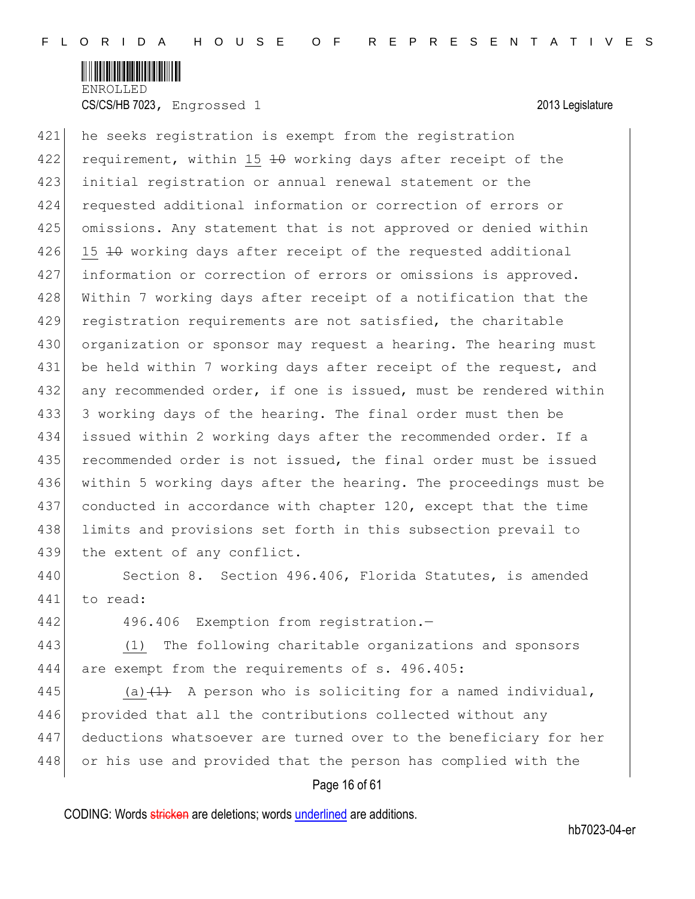

421 he seeks registration is exempt from the registration 422 requirement, within 15 40 working days after receipt of the 423 initial registration or annual renewal statement or the 424 requested additional information or correction of errors or 425 omissions. Any statement that is not approved or denied within 426 15 <del>10</del> working days after receipt of the requested additional 427 information or correction of errors or omissions is approved. 428 Within 7 working days after receipt of a notification that the 429 registration requirements are not satisfied, the charitable 430 organization or sponsor may request a hearing. The hearing must 431 be held within 7 working days after receipt of the request, and 432 any recommended order, if one is issued, must be rendered within 433 3 working days of the hearing. The final order must then be 434 issued within 2 working days after the recommended order. If a 435 recommended order is not issued, the final order must be issued 436 within 5 working days after the hearing. The proceedings must be 437 conducted in accordance with chapter 120, except that the time 438 limits and provisions set forth in this subsection prevail to 439 the extent of any conflict.

440 Section 8. Section 496.406, Florida Statutes, is amended 441 to read:

442 496.406 Exemption from registration.-

443 (1) The following charitable organizations and sponsors 444 are exempt from the requirements of s. 496.405:

445 (a) $(1)$  A person who is soliciting for a named individual, 446 provided that all the contributions collected without any 447 deductions whatsoever are turned over to the beneficiary for her 448 or his use and provided that the person has complied with the

# Page 16 of 61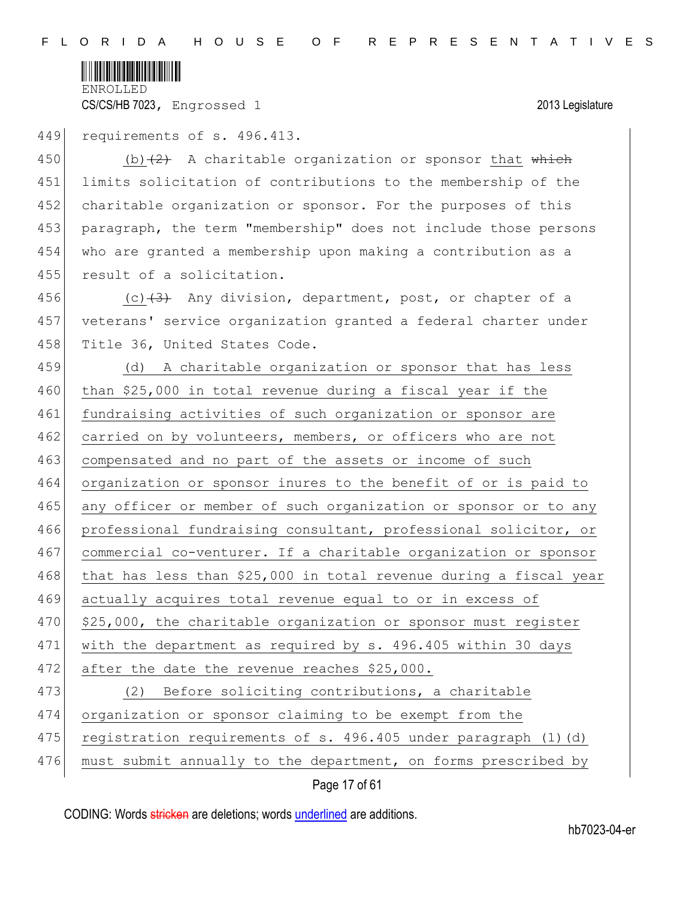

449 requirements of s. 496.413.

450 (b) $(2)$  A charitable organization or sponsor that which 451 limits solicitation of contributions to the membership of the 452 charitable organization or sponsor. For the purposes of this 453 paragraph, the term "membership" does not include those persons 454 who are granted a membership upon making a contribution as a 455 result of a solicitation.

456 (c) $(3)$  Any division, department, post, or chapter of a 457 veterans' service organization granted a federal charter under 458 Title 36, United States Code.

459 (d) A charitable organization or sponsor that has less 460 than \$25,000 in total revenue during a fiscal year if the 461 fundraising activities of such organization or sponsor are 462 carried on by volunteers, members, or officers who are not 463 compensated and no part of the assets or income of such 464 organization or sponsor inures to the benefit of or is paid to 465 any officer or member of such organization or sponsor or to any 466 professional fundraising consultant, professional solicitor, or 467 commercial co-venturer. If a charitable organization or sponsor 468 that has less than \$25,000 in total revenue during a fiscal year 469 actually acquires total revenue equal to or in excess of 470 \$25,000, the charitable organization or sponsor must register 471 with the department as required by s. 496.405 within 30 days 472 after the date the revenue reaches \$25,000. 473 (2) Before soliciting contributions, a charitable 474 organization or sponsor claiming to be exempt from the 475 registration requirements of s. 496.405 under paragraph  $(1)$   $(d)$ 476 must submit annually to the department, on forms prescribed by

Page 17 of 61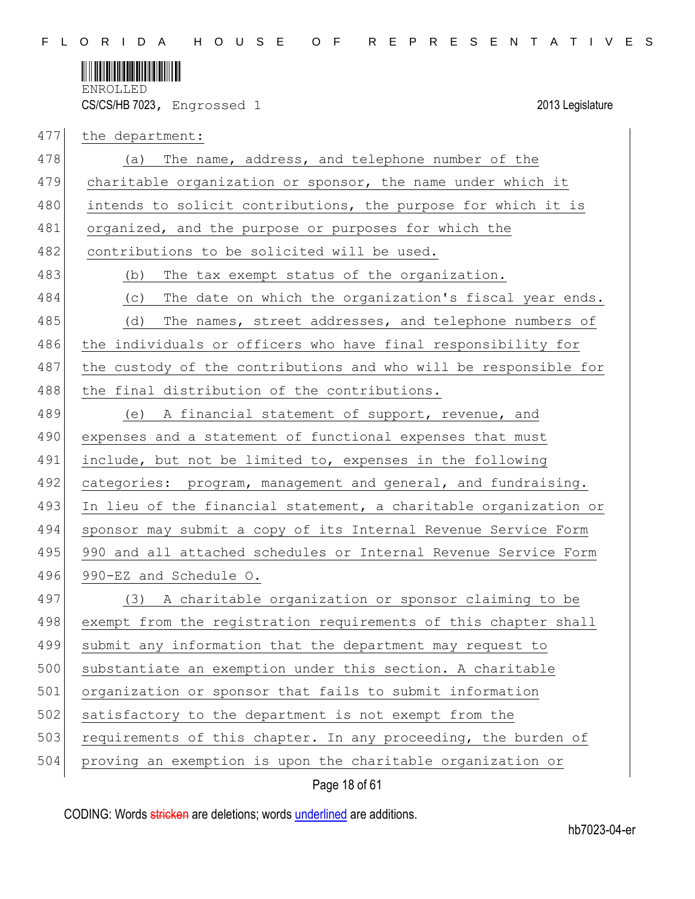

| 477 | the department:                                                  |
|-----|------------------------------------------------------------------|
| 478 | The name, address, and telephone number of the<br>(a)            |
| 479 | charitable organization or sponsor, the name under which it      |
| 480 | intends to solicit contributions, the purpose for which it is    |
| 481 | organized, and the purpose or purposes for which the             |
| 482 | contributions to be solicited will be used.                      |
| 483 | The tax exempt status of the organization.<br>(b)                |
| 484 | The date on which the organization's fiscal year ends.<br>(C)    |
| 485 | The names, street addresses, and telephone numbers of<br>(d)     |
| 486 | the individuals or officers who have final responsibility for    |
| 487 | the custody of the contributions and who will be responsible for |
| 488 | the final distribution of the contributions.                     |
| 489 | (e) A financial statement of support, revenue, and               |
| 490 | expenses and a statement of functional expenses that must        |
| 491 | include, but not be limited to, expenses in the following        |
| 492 | categories: program, management and general, and fundraising.    |
| 493 | In lieu of the financial statement, a charitable organization or |
| 494 | sponsor may submit a copy of its Internal Revenue Service Form   |
| 495 | 990 and all attached schedules or Internal Revenue Service Form  |
| 496 | 990-EZ and Schedule O.                                           |
| 497 | (3) A charitable organization or sponsor claiming to be          |
| 498 | exempt from the registration requirements of this chapter shall  |
| 499 | submit any information that the department may request to        |
| 500 | substantiate an exemption under this section. A charitable       |
| 501 | organization or sponsor that fails to submit information         |
| 502 | satisfactory to the department is not exempt from the            |
| 503 | requirements of this chapter. In any proceeding, the burden of   |
| 504 | proving an exemption is upon the charitable organization or      |

Page 18 of 61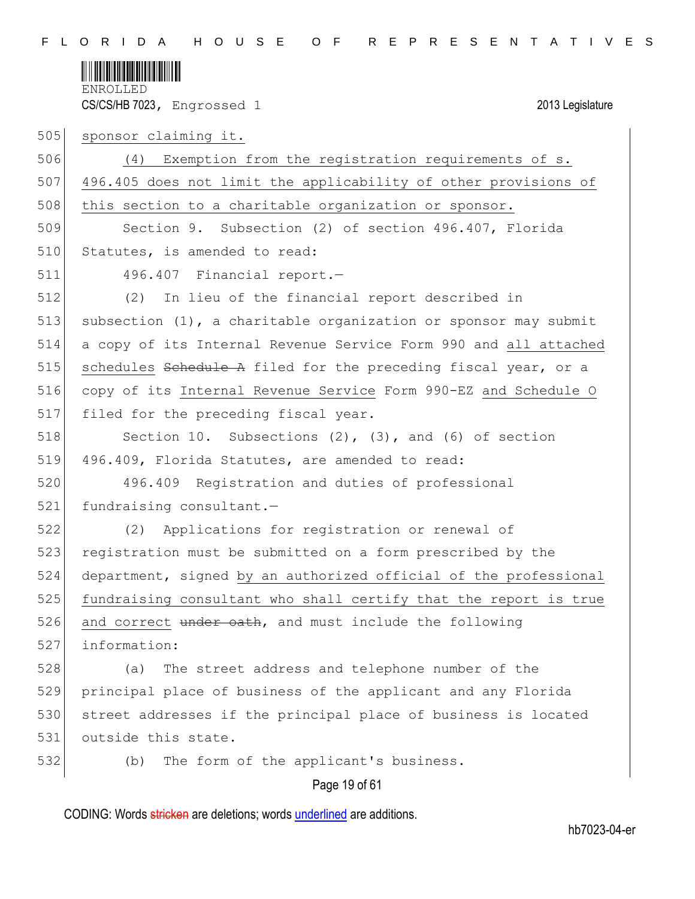

505 sponsor claiming it. 506 (4) Exemption from the registration requirements of s. 507 496.405 does not limit the applicability of other provisions of 508 this section to a charitable organization or sponsor. 509 Section 9. Subsection (2) of section 496.407, Florida 510 Statutes, is amended to read: 511 496.407 Financial report.— 512 (2) In lieu of the financial report described in 513 subsection (1), a charitable organization or sponsor may submit 514 a copy of its Internal Revenue Service Form 990 and all attached 515 schedules  $S$ chedule A filed for the preceding fiscal year, or a 516 copy of its Internal Revenue Service Form 990-EZ and Schedule O 517 filed for the preceding fiscal year. 518 Section 10. Subsections (2), (3), and (6) of section 519 496.409, Florida Statutes, are amended to read: 520 496.409 Registration and duties of professional 521 fundraising consultant.-522 (2) Applications for registration or renewal of 523 registration must be submitted on a form prescribed by the 524 department, signed by an authorized official of the professional 525 fundraising consultant who shall certify that the report is true 526 and correct under oath, and must include the following 527 information: 528 (a) The street address and telephone number of the 529 principal place of business of the applicant and any Florida 530 street addresses if the principal place of business is located 531 outside this state. 532 (b) The form of the applicant's business.

Page 19 of 61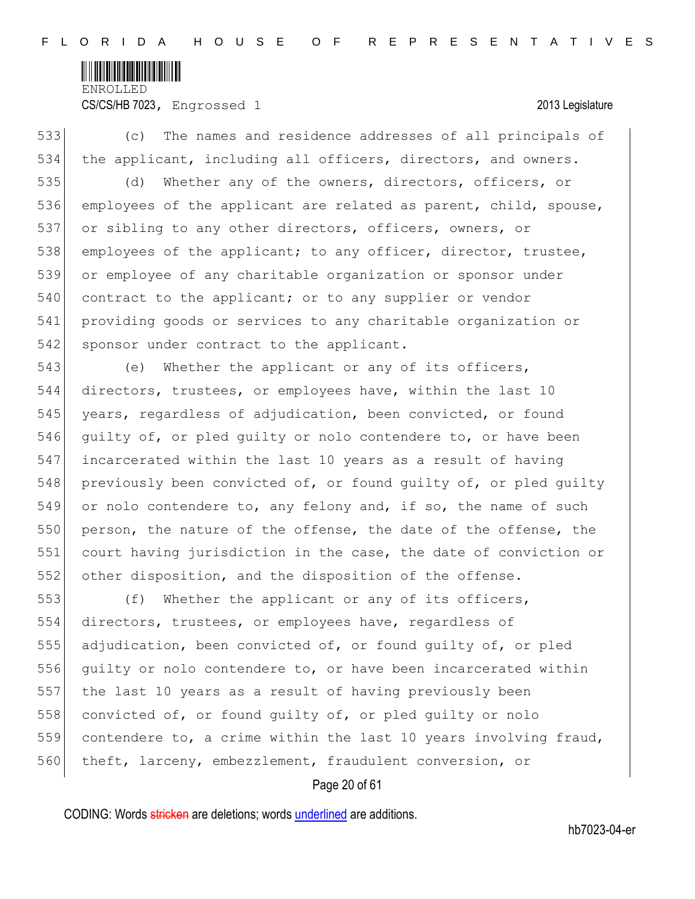

# CS/CS/HB 7023, Engrossed 1 2013 Legislature

533 (c) The names and residence addresses of all principals of 534 the applicant, including all officers, directors, and owners.

535 (d) Whether any of the owners, directors, officers, or 536 employees of the applicant are related as parent, child, spouse, 537 or sibling to any other directors, officers, owners, or 538 employees of the applicant; to any officer, director, trustee, 539 or employee of any charitable organization or sponsor under 540 contract to the applicant; or to any supplier or vendor 541 providing goods or services to any charitable organization or 542 sponsor under contract to the applicant.

543 (e) Whether the applicant or any of its officers, 544 directors, trustees, or employees have, within the last 10 545 years, regardless of adjudication, been convicted, or found 546 quilty of, or pled quilty or nolo contendere to, or have been 547 incarcerated within the last 10 years as a result of having 548 previously been convicted of, or found quilty of, or pled quilty 549 or nolo contendere to, any felony and, if so, the name of such 550 person, the nature of the offense, the date of the offense, the 551 court having jurisdiction in the case, the date of conviction or 552 other disposition, and the disposition of the offense.

 (f) Whether the applicant or any of its officers, directors, trustees, or employees have, regardless of 555 adjudication, been convicted of, or found guilty of, or pled guilty or nolo contendere to, or have been incarcerated within the last 10 years as a result of having previously been 558 convicted of, or found quilty of, or pled quilty or nolo contendere to, a crime within the last 10 years involving fraud, 560 theft, larceny, embezzlement, fraudulent conversion, or

# Page 20 of 61

CODING: Words stricken are deletions; words underlined are additions.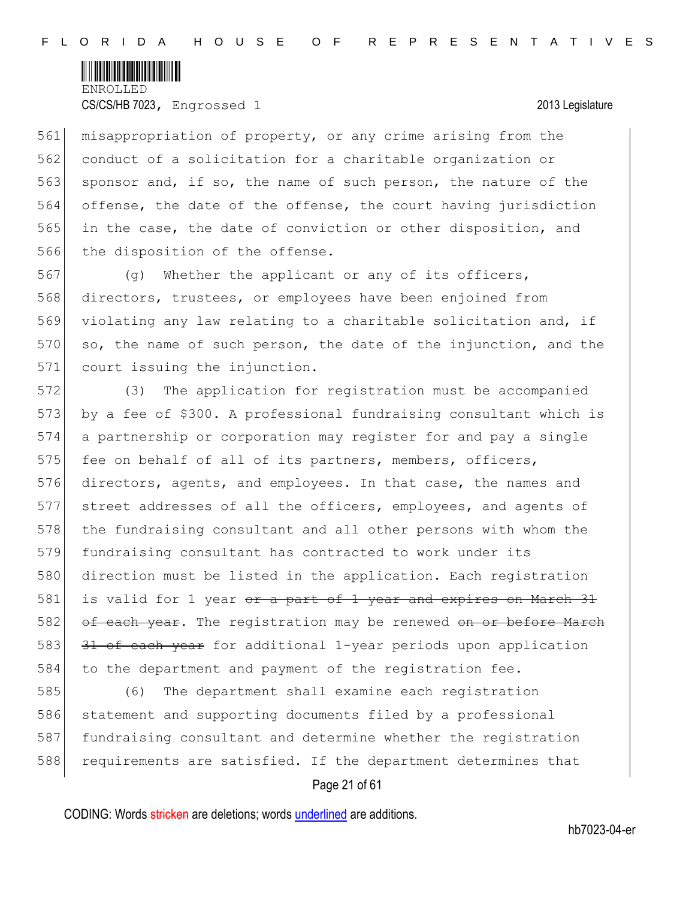

561 misappropriation of property, or any crime arising from the 562 conduct of a solicitation for a charitable organization or 563 sponsor and, if so, the name of such person, the nature of the 564 offense, the date of the offense, the court having jurisdiction 565 in the case, the date of conviction or other disposition, and 566 the disposition of the offense.

567 (g) Whether the applicant or any of its officers, 568 directors, trustees, or employees have been enjoined from 569 violating any law relating to a charitable solicitation and, if 570 so, the name of such person, the date of the injunction, and the 571 court issuing the injunction.

572 (3) The application for registration must be accompanied 573 by a fee of \$300. A professional fundraising consultant which is 574 a partnership or corporation may register for and pay a single 575 fee on behalf of all of its partners, members, officers, 576 directors, agents, and employees. In that case, the names and 577 street addresses of all the officers, employees, and agents of 578 the fundraising consultant and all other persons with whom the 579 fundraising consultant has contracted to work under its 580 direction must be listed in the application. Each registration 581 is valid for 1 year or a part of 1 year and expires on March 31 582 of each year. The registration may be renewed on or before March 583 31 of each year for additional 1-year periods upon application 584 to the department and payment of the registration fee.

585 (6) The department shall examine each registration 586 statement and supporting documents filed by a professional 587 fundraising consultant and determine whether the registration 588 requirements are satisfied. If the department determines that

# Page 21 of 61

CODING: Words stricken are deletions; words underlined are additions.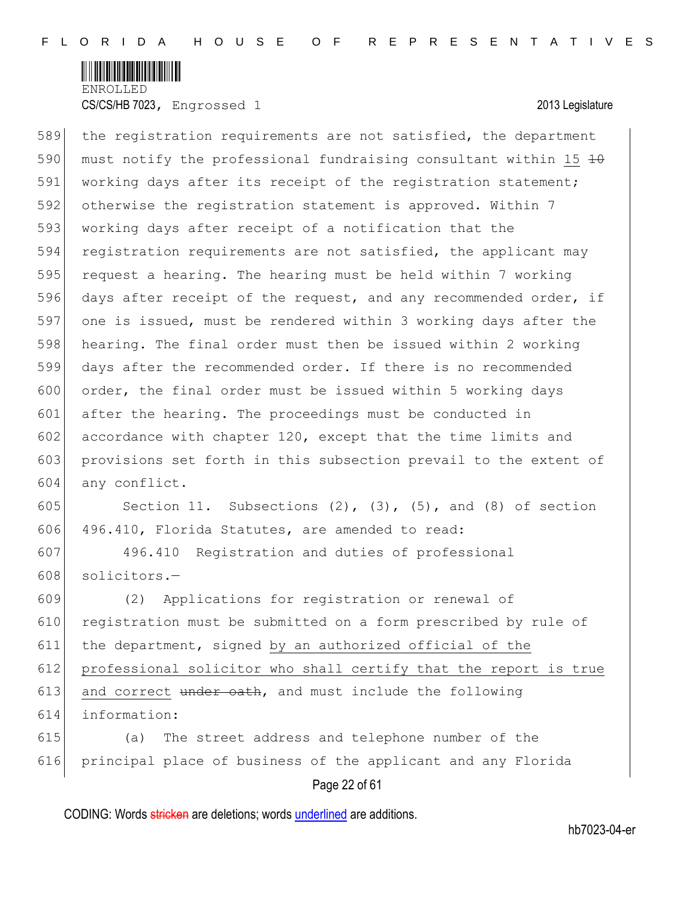

589 the registration requirements are not satisfied, the department 590 must notify the professional fundraising consultant within 15  $\pm$ 0 591 working days after its receipt of the registration statement; 592 otherwise the registration statement is approved. Within 7 593 working days after receipt of a notification that the 594 registration requirements are not satisfied, the applicant may 595 request a hearing. The hearing must be held within 7 working 596 days after receipt of the request, and any recommended order, if 597 one is issued, must be rendered within 3 working days after the 598 hearing. The final order must then be issued within 2 working 599 days after the recommended order. If there is no recommended 600 order, the final order must be issued within 5 working days 601 after the hearing. The proceedings must be conducted in 602 accordance with chapter 120, except that the time limits and 603 provisions set forth in this subsection prevail to the extent of 604 any conflict.

605 Section 11. Subsections  $(2)$ ,  $(3)$ ,  $(5)$ , and  $(8)$  of section 606 496.410, Florida Statutes, are amended to read:

607 496.410 Registration and duties of professional 608 solicitors.-

 (2) Applications for registration or renewal of 610 registration must be submitted on a form prescribed by rule of the department, signed by an authorized official of the professional solicitor who shall certify that the report is true and correct under eath, and must include the following information:

615 (a) The street address and telephone number of the 616 principal place of business of the applicant and any Florida

# Page 22 of 61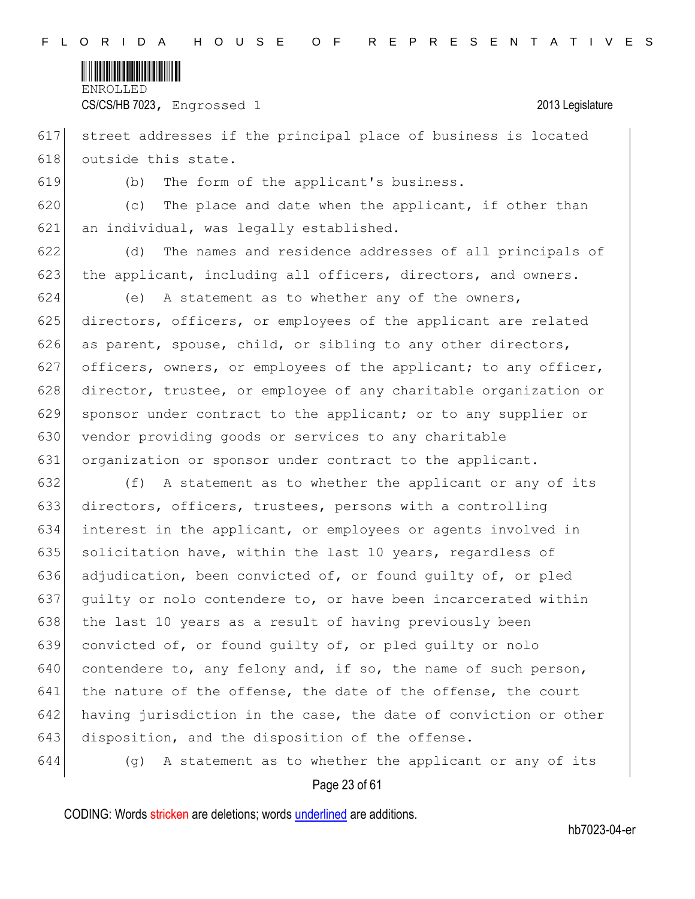

CS/CS/HB 7023, Engrossed 1 2013 Legislature

617 street addresses if the principal place of business is located 618 outside this state.

619 (b) The form of the applicant's business.

 $620$  (c) The place and date when the applicant, if other than 621 an individual, was legally established.

622 (d) The names and residence addresses of all principals of 623 the applicant, including all officers, directors, and owners.

624 (e) A statement as to whether any of the owners, 625 directors, officers, or employees of the applicant are related 626 as parent, spouse, child, or sibling to any other directors, 627 officers, owners, or employees of the applicant; to any officer, 628 director, trustee, or employee of any charitable organization or 629 sponsor under contract to the applicant; or to any supplier or 630 vendor providing goods or services to any charitable 631 organization or sponsor under contract to the applicant.

632 (f) A statement as to whether the applicant or any of its 633 directors, officers, trustees, persons with a controlling 634 interest in the applicant, or employees or agents involved in 635 solicitation have, within the last 10 years, regardless of 636 adjudication, been convicted of, or found guilty of, or pled 637 guilty or nolo contendere to, or have been incarcerated within 638 the last 10 years as a result of having previously been 639 convicted of, or found guilty of, or pled guilty or nolo 640 contendere to, any felony and, if so, the name of such person,  $641$  the nature of the offense, the date of the offense, the court 642 having jurisdiction in the case, the date of conviction or other 643 disposition, and the disposition of the offense.

644 (g) A statement as to whether the applicant or any of its

# Page 23 of 61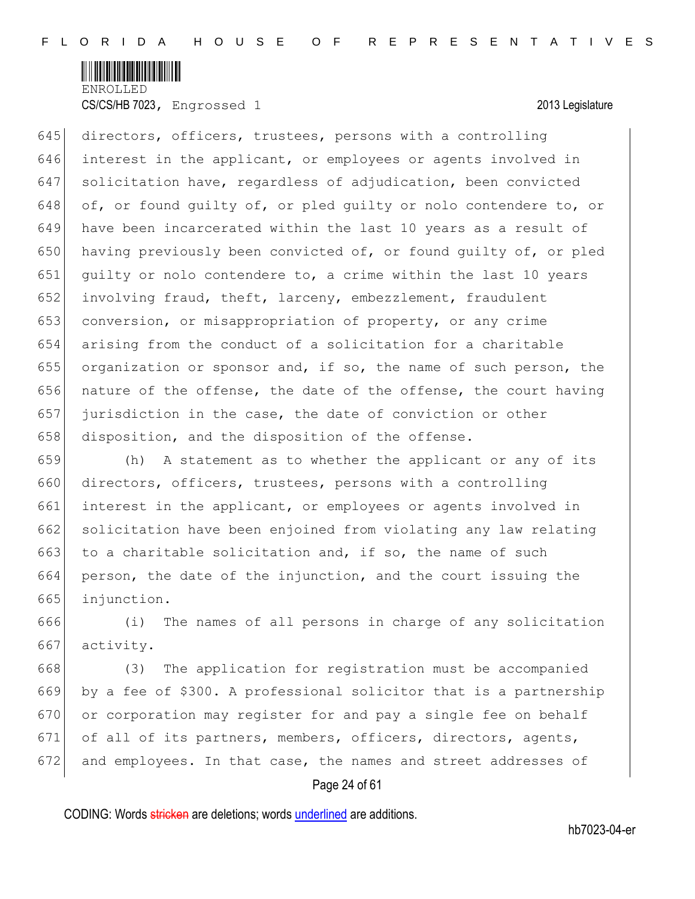

645 directors, officers, trustees, persons with a controlling interest in the applicant, or employees or agents involved in solicitation have, regardless of adjudication, been convicted 648 of, or found guilty of, or pled guilty or nolo contendere to, or have been incarcerated within the last 10 years as a result of 650 having previously been convicted of, or found quilty of, or pled guilty or nolo contendere to, a crime within the last 10 years involving fraud, theft, larceny, embezzlement, fraudulent conversion, or misappropriation of property, or any crime arising from the conduct of a solicitation for a charitable organization or sponsor and, if so, the name of such person, the nature of the offense, the date of the offense, the court having jurisdiction in the case, the date of conviction or other 658 disposition, and the disposition of the offense.

659 (h) A statement as to whether the applicant or any of its 660 directors, officers, trustees, persons with a controlling 661 interest in the applicant, or employees or agents involved in 662 solicitation have been enjoined from violating any law relating 663 to a charitable solicitation and, if so, the name of such 664 person, the date of the injunction, and the court issuing the 665 injunction.

666 (i) The names of all persons in charge of any solicitation 667 activity.

 (3) The application for registration must be accompanied by a fee of \$300. A professional solicitor that is a partnership 670 or corporation may register for and pay a single fee on behalf of all of its partners, members, officers, directors, agents, and employees. In that case, the names and street addresses of

# Page 24 of 61

CODING: Words stricken are deletions; words underlined are additions.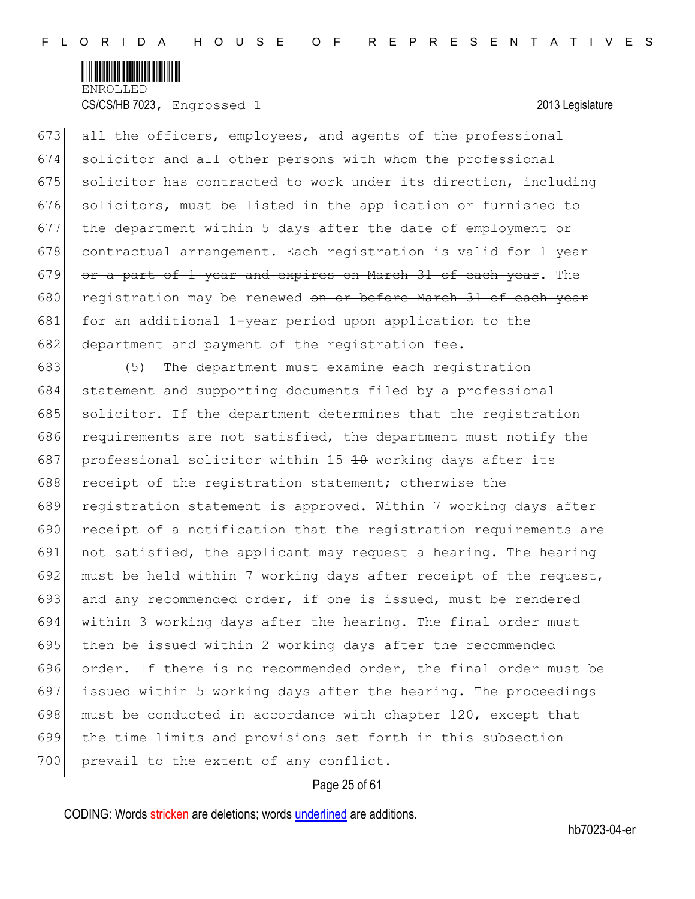

673 all the officers, employees, and agents of the professional 674 solicitor and all other persons with whom the professional 675 solicitor has contracted to work under its direction, including 676 solicitors, must be listed in the application or furnished to 677 the department within 5 days after the date of employment or 678 contractual arrangement. Each registration is valid for 1 year 679 or a part of 1 year and expires on March 31 of each year. The 680 registration may be renewed on or before March 31 of each year 681 for an additional 1-year period upon application to the 682 department and payment of the registration fee.

683 (5) The department must examine each registration 684 statement and supporting documents filed by a professional 685 solicitor. If the department determines that the registration 686 requirements are not satisfied, the department must notify the 687 professional solicitor within 15 40 working days after its 688 receipt of the registration statement; otherwise the 689 registration statement is approved. Within 7 working days after 690 receipt of a notification that the registration requirements are 691 not satisfied, the applicant may request a hearing. The hearing 692 must be held within 7 working days after receipt of the request, 693 and any recommended order, if one is issued, must be rendered 694 within 3 working days after the hearing. The final order must 695 then be issued within 2 working days after the recommended 696 order. If there is no recommended order, the final order must be 697 issued within 5 working days after the hearing. The proceedings 698 must be conducted in accordance with chapter 120, except that 699 the time limits and provisions set forth in this subsection 700 prevail to the extent of any conflict.

# Page 25 of 61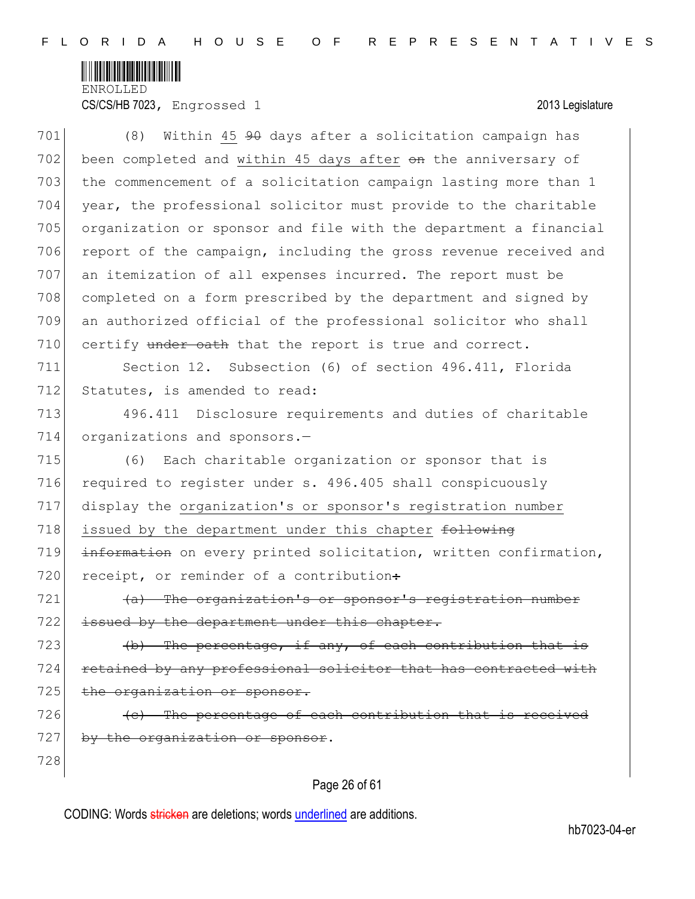

CS/CS/HB 7023, Engrossed 1 2013 Legislature

701 (8) Within 45 90 days after a solicitation campaign has 702 been completed and within 45 days after on the anniversary of 703 the commencement of a solicitation campaign lasting more than 1 704 year, the professional solicitor must provide to the charitable 705 organization or sponsor and file with the department a financial 706 report of the campaign, including the gross revenue received and 707 an itemization of all expenses incurred. The report must be 708 completed on a form prescribed by the department and signed by 709 an authorized official of the professional solicitor who shall  $710$  certify under eath that the report is true and correct. 711 Section 12. Subsection (6) of section 496.411, Florida 712 Statutes, is amended to read: 713 496.411 Disclosure requirements and duties of charitable 714 organizations and sponsors.-715 (6) Each charitable organization or sponsor that is 716 required to register under s. 496.405 shall conspicuously 717 display the organization's or sponsor's registration number 718 issued by the department under this chapter following 719 information on every printed solicitation, written confirmation, 720 receipt, or reminder of a contribution:  $721$  (a) The organization's or sponsor's registration number 722 issued by the department under this chapter. 723  $\left\{\phi\right\}$  The percentage, if any, of each contribution that is 724 retained by any professional solicitor that has contracted with 725 the organization or sponsor.  $726$  (c) The percentage of each contribution that is received  $727$  by the organization or sponsor. 728

# Page 26 of 61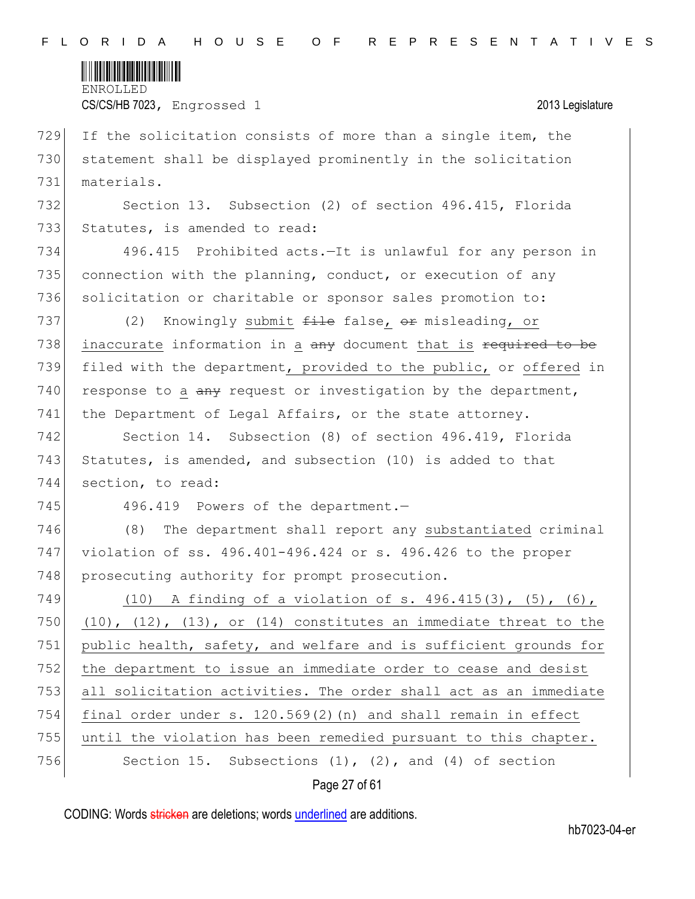

CS/CS/HB 7023, Engrossed 1 2013 Legislature

729 If the solicitation consists of more than a single item, the 730 statement shall be displayed prominently in the solicitation 731 materials.

732 Section 13. Subsection (2) of section 496.415, Florida 733 Statutes, is amended to read:

734 496.415 Prohibited acts.—It is unlawful for any person in 735 connection with the planning, conduct, or execution of any 736 solicitation or charitable or sponsor sales promotion to:

737 (2) Knowingly submit <del>file</del> false, or misleading, or 738 inaccurate information in a any document that is required to be 739 filed with the department, provided to the public, or offered in 740 response to a  $\frac{a}{a}$  request or investigation by the department, 741 the Department of Legal Affairs, or the state attorney.

742 Section 14. Subsection (8) of section 496.419, Florida 743 Statutes, is amended, and subsection (10) is added to that 744 section, to read:

745 496.419 Powers of the department.

746 (8) The department shall report any substantiated criminal 747 violation of ss. 496.401-496.424 or s. 496.426 to the proper 748 prosecuting authority for prompt prosecution.

 (10) A finding of a violation of s. 496.415(3), (5), (6), 750 (10), (12), (13), or (14) constitutes an immediate threat to the 751 public health, safety, and welfare and is sufficient grounds for the department to issue an immediate order to cease and desist all solicitation activities. The order shall act as an immediate final order under s. 120.569(2)(n) and shall remain in effect until the violation has been remedied pursuant to this chapter. 756 Section 15. Subsections (1), (2), and (4) of section

Page 27 of 61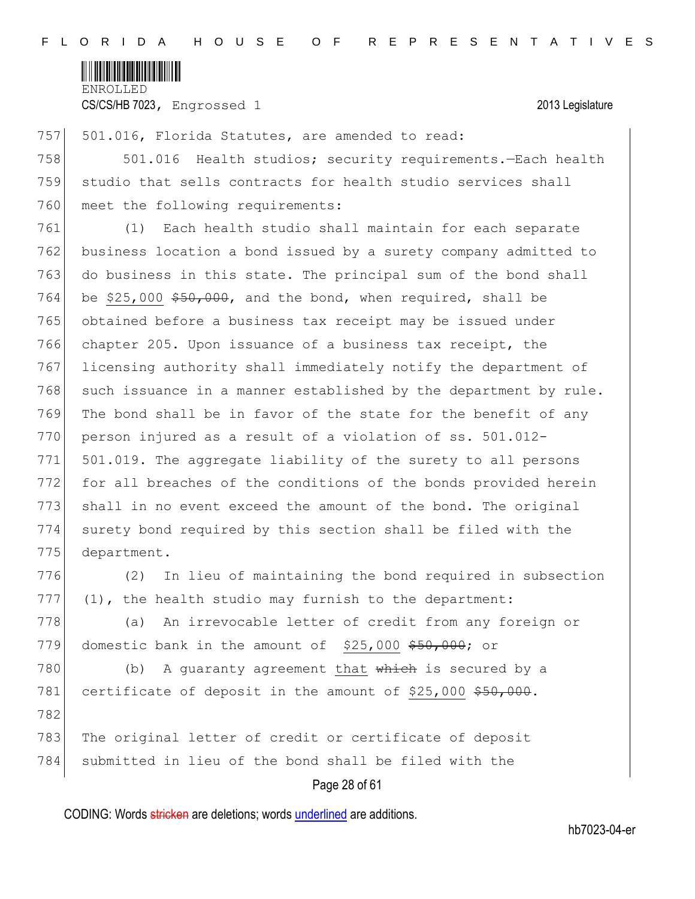

CS/CS/HB 7023, Engrossed 1 2013 Legislature

757 501.016, Florida Statutes, are amended to read:

758 501.016 Health studios; security requirements.—Each health 759 studio that sells contracts for health studio services shall 760 meet the following requirements:

761 (1) Each health studio shall maintain for each separate 762 business location a bond issued by a surety company admitted to 763 do business in this state. The principal sum of the bond shall 764 be \$25,000  $$50,000$ , and the bond, when required, shall be 765 obtained before a business tax receipt may be issued under 766 chapter 205. Upon issuance of a business tax receipt, the 767 licensing authority shall immediately notify the department of  $768$  such issuance in a manner established by the department by rule. 769 The bond shall be in favor of the state for the benefit of any 770 person injured as a result of a violation of ss. 501.012-771 501.019. The aggregate liability of the surety to all persons 772 for all breaches of the conditions of the bonds provided herein 773 shall in no event exceed the amount of the bond. The original 774 surety bond required by this section shall be filed with the 775 department.

776 (2) In lieu of maintaining the bond required in subsection  $777$  (1), the health studio may furnish to the department:

778 (a) An irrevocable letter of credit from any foreign or 779 domestic bank in the amount of \$25,000 \$50,000; or

780 (b) A guaranty agreement that which is secured by a 781 certificate of deposit in the amount of \$25,000 \$50,000. 782

783 The original letter of credit or certificate of deposit 784 submitted in lieu of the bond shall be filed with the

# Page 28 of 61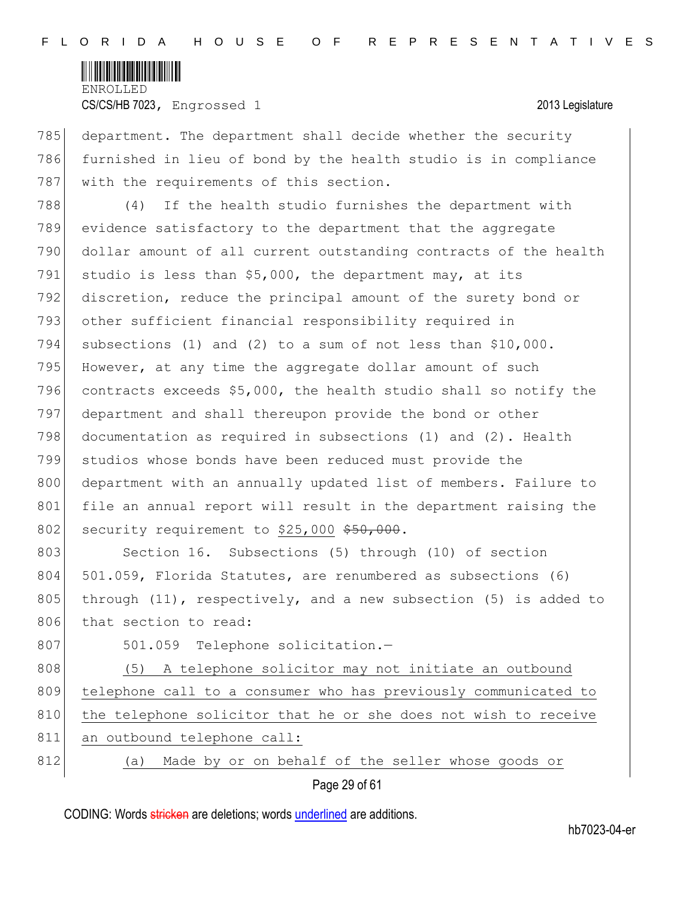

785 department. The department shall decide whether the security 786 furnished in lieu of bond by the health studio is in compliance 787 with the requirements of this section.

788 (4) If the health studio furnishes the department with 789 evidence satisfactory to the department that the aggregate 790 dollar amount of all current outstanding contracts of the health 791 studio is less than  $$5,000$ , the department may, at its 792 discretion, reduce the principal amount of the surety bond or 793 other sufficient financial responsibility required in 794 subsections (1) and (2) to a sum of not less than \$10,000. 795 However, at any time the aggregate dollar amount of such 796 contracts exceeds  $$5,000$ , the health studio shall so notify the 797 department and shall thereupon provide the bond or other 798 documentation as required in subsections (1) and (2). Health 799 studios whose bonds have been reduced must provide the 800 department with an annually updated list of members. Failure to 801 file an annual report will result in the department raising the 802 security requirement to  $$25,000$   $$50,000$ .

803 Section 16. Subsections (5) through (10) of section 804 501.059, Florida Statutes, are renumbered as subsections (6) 805 through (11), respectively, and a new subsection (5) is added to 806 that section to read:

807 501.059 Telephone solicitation.-

808 (5) A telephone solicitor may not initiate an outbound 809 telephone call to a consumer who has previously communicated to 810 the telephone solicitor that he or she does not wish to receive 811 an outbound telephone call: 812 (a) Made by or on behalf of the seller whose goods or

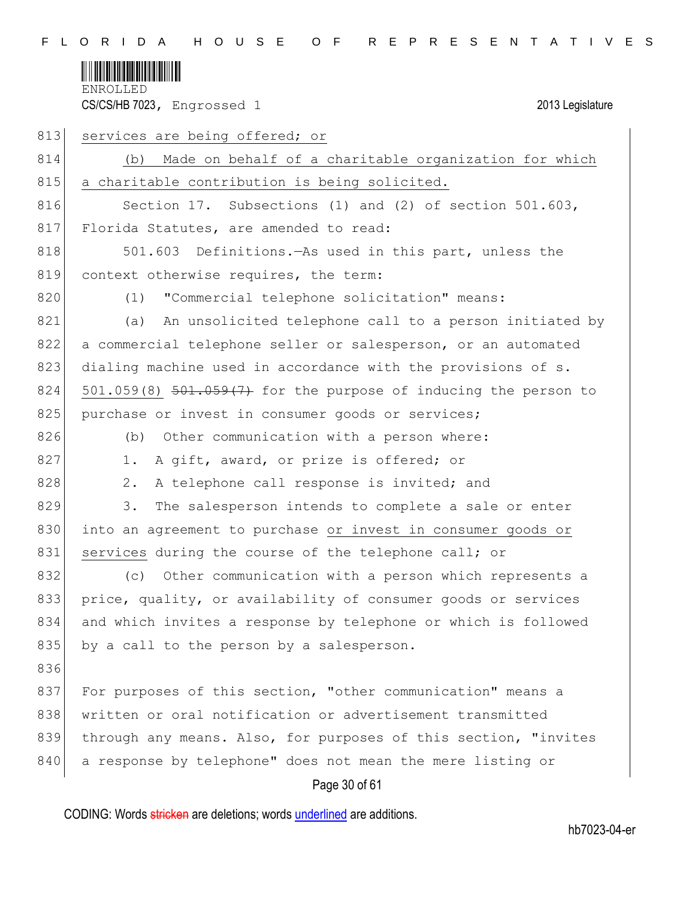

| 813 | services are being offered; or                                  |
|-----|-----------------------------------------------------------------|
| 814 | Made on behalf of a charitable organization for which<br>(b)    |
| 815 | a charitable contribution is being solicited.                   |
| 816 | Section 17. Subsections (1) and (2) of section 501.603,         |
| 817 | Florida Statutes, are amended to read:                          |
| 818 | 501.603 Definitions. - As used in this part, unless the         |
| 819 | context otherwise requires, the term:                           |
| 820 | "Commercial telephone solicitation" means:<br>(1)               |
| 821 | An unsolicited telephone call to a person initiated by<br>(a)   |
| 822 | a commercial telephone seller or salesperson, or an automated   |
| 823 | dialing machine used in accordance with the provisions of s.    |
| 824 | 501.059(8) 501.059(7) for the purpose of inducing the person to |
| 825 | purchase or invest in consumer goods or services;               |
| 826 | Other communication with a person where:<br>(b)                 |
| 827 | A gift, award, or prize is offered; or<br>1.                    |
| 828 | A telephone call response is invited; and<br>2.                 |
| 829 | 3.<br>The salesperson intends to complete a sale or enter       |
| 830 | into an agreement to purchase or invest in consumer goods or    |
| 831 | services during the course of the telephone call; or            |
| 832 | Other communication with a person which represents a<br>(C)     |
| 833 | price, quality, or availability of consumer goods or services   |
| 834 | and which invites a response by telephone or which is followed  |
| 835 | by a call to the person by a salesperson.                       |
| 836 |                                                                 |
| 837 | For purposes of this section, "other communication" means a     |
| 838 | written or oral notification or advertisement transmitted       |
| 839 | through any means. Also, for purposes of this section, "invites |
| 840 | a response by telephone" does not mean the mere listing or      |
|     | Page 30 of 61                                                   |

CODING: Words stricken are deletions; words underlined are additions.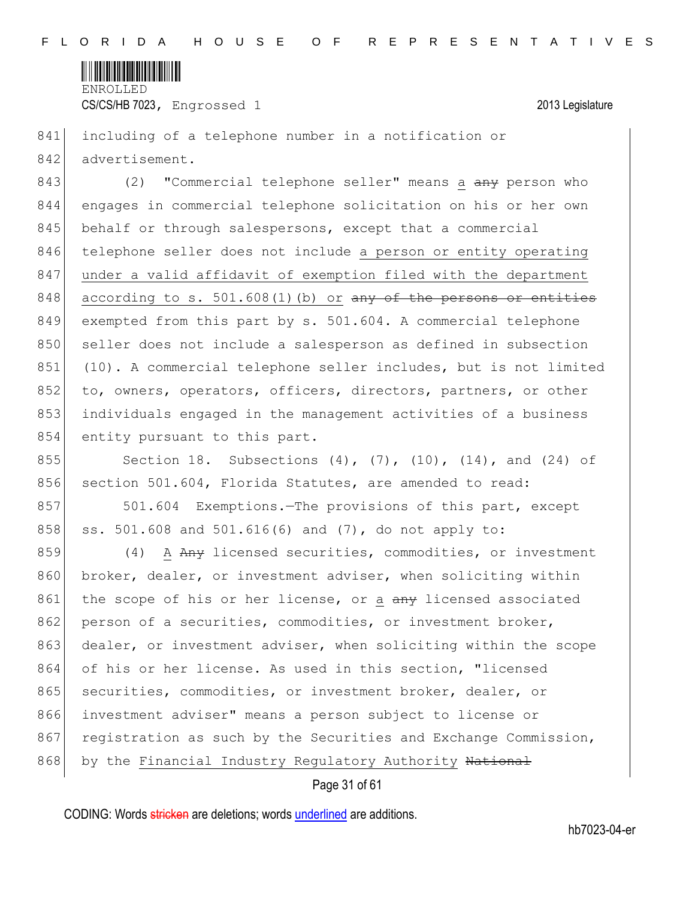

CS/CS/HB 7023, Engrossed 1 2013 Legislature

841 including of a telephone number in a notification or 842 advertisement.

843 (2) "Commercial telephone seller" means a any person who 844 engages in commercial telephone solicitation on his or her own 845 behalf or through salespersons, except that a commercial 846 telephone seller does not include a person or entity operating 847 under a valid affidavit of exemption filed with the department 848 according to s.  $501.608(1)$  (b) or any of the persons or entities 849 exempted from this part by s. 501.604. A commercial telephone 850 seller does not include a salesperson as defined in subsection 851 (10). A commercial telephone seller includes, but is not limited 852 to, owners, operators, officers, directors, partners, or other 853 individuals engaged in the management activities of a business 854 entity pursuant to this part.

855 Section 18. Subsections (4), (7), (10), (14), and (24) of 856 section 501.604, Florida Statutes, are amended to read:

857 501.604 Exemptions.—The provisions of this part, except 858 ss. 501.608 and 501.616(6) and (7), do not apply to:

859 (4) A Any licensed securities, commodities, or investment 860 broker, dealer, or investment adviser, when soliciting within 861 the scope of his or her license, or a any licensed associated 862 person of a securities, commodities, or investment broker, 863 dealer, or investment adviser, when soliciting within the scope 864 of his or her license. As used in this section, "licensed 865 securities, commodities, or investment broker, dealer, or 866 investment adviser" means a person subject to license or 867 registration as such by the Securities and Exchange Commission, 868 by the Financial Industry Regulatory Authority National

### Page 31 of 61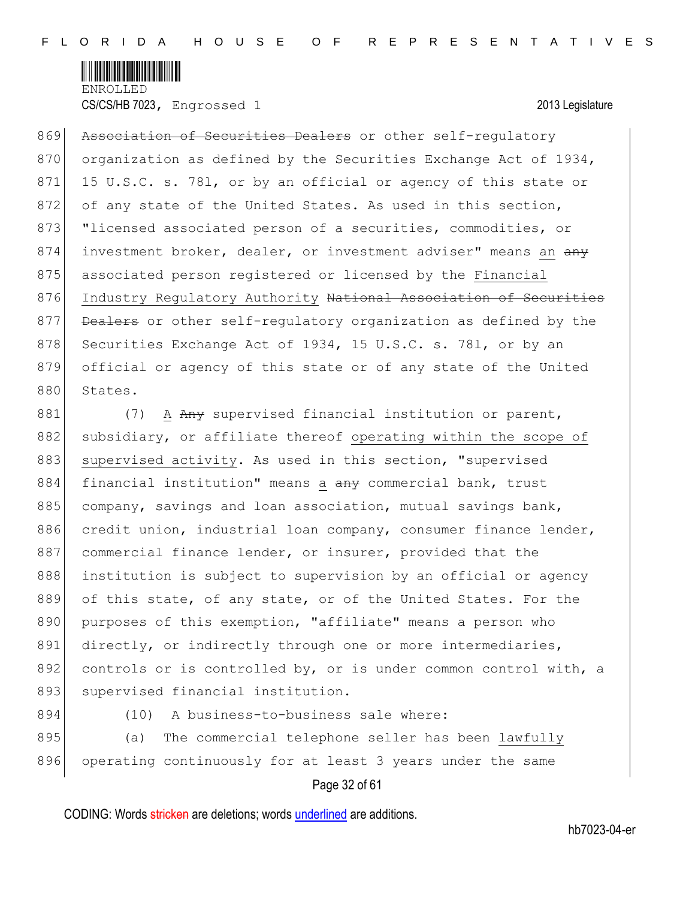

CS/CS/HB 7023, Engrossed 1 2013 Legislature

869 Association of Securities Dealers or other self-requlatory 870 organization as defined by the Securities Exchange Act of 1934, 871 15 U.S.C. s. 781, or by an official or agency of this state or 872 of any state of the United States. As used in this section, 873 "licensed associated person of a securities, commodities, or 874 investment broker, dealer, or investment adviser" means an any 875 associated person registered or licensed by the Financial 876 Industry Regulatory Authority National Association of Securities 877 Dealers or other self-regulatory organization as defined by the 878 Securities Exchange Act of 1934, 15 U.S.C. s. 781, or by an 879 official or agency of this state or of any state of the United 880 States.

881 (7) A Any supervised financial institution or parent, 882 subsidiary, or affiliate thereof operating within the scope of 883 supervised activity. As used in this section, "supervised 884 financial institution" means a any commercial bank, trust 885 company, savings and loan association, mutual savings bank, 886 credit union, industrial loan company, consumer finance lender, 887 commercial finance lender, or insurer, provided that the 888 institution is subject to supervision by an official or agency 889 of this state, of any state, or of the United States. For the 890 purposes of this exemption, "affiliate" means a person who 891 directly, or indirectly through one or more intermediaries, 892 controls or is controlled by, or is under common control with, a 893 supervised financial institution.

894 (10) A business-to-business sale where:

895 (a) The commercial telephone seller has been lawfully 896 operating continuously for at least 3 years under the same

# Page 32 of 61

CODING: Words stricken are deletions; words underlined are additions.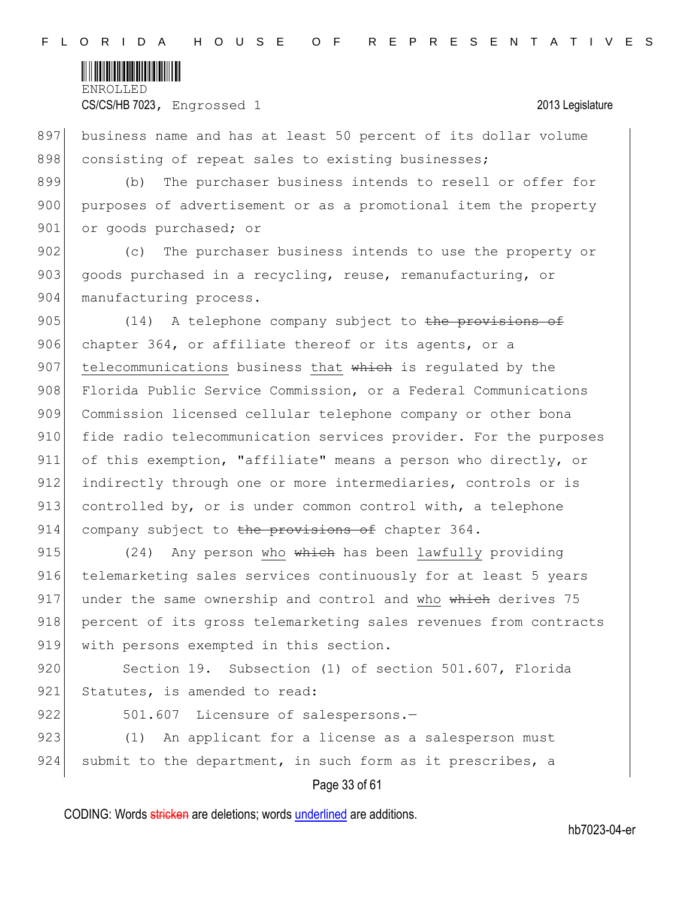

897 business name and has at least 50 percent of its dollar volume 898 consisting of repeat sales to existing businesses;

899 (b) The purchaser business intends to resell or offer for 900 purposes of advertisement or as a promotional item the property 901 or goods purchased; or

902 (c) The purchaser business intends to use the property or 903 goods purchased in a recycling, reuse, remanufacturing, or 904 manufacturing process.

905 (14) A telephone company subject to the provisions of 906 chapter 364, or affiliate thereof or its agents, or a 907 telecommunications business that which is requlated by the 908 Florida Public Service Commission, or a Federal Communications 909 Commission licensed cellular telephone company or other bona 910 fide radio telecommunication services provider. For the purposes 911 of this exemption, "affiliate" means a person who directly, or 912 indirectly through one or more intermediaries, controls or is 913 controlled by, or is under common control with, a telephone 914 company subject to the provisions of chapter  $364$ .

915 (24) Any person who which has been lawfully providing 916 telemarketing sales services continuously for at least 5 years  $917$  under the same ownership and control and who which derives 75 918 percent of its gross telemarketing sales revenues from contracts 919 with persons exempted in this section.

920 Section 19. Subsection (1) of section 501.607, Florida 921 Statutes, is amended to read:

922 501.607 Licensure of salespersons.-

923 (1) An applicant for a license as a salesperson must 924 submit to the department, in such form as it prescribes, a

# Page 33 of 61

CODING: Words stricken are deletions; words underlined are additions.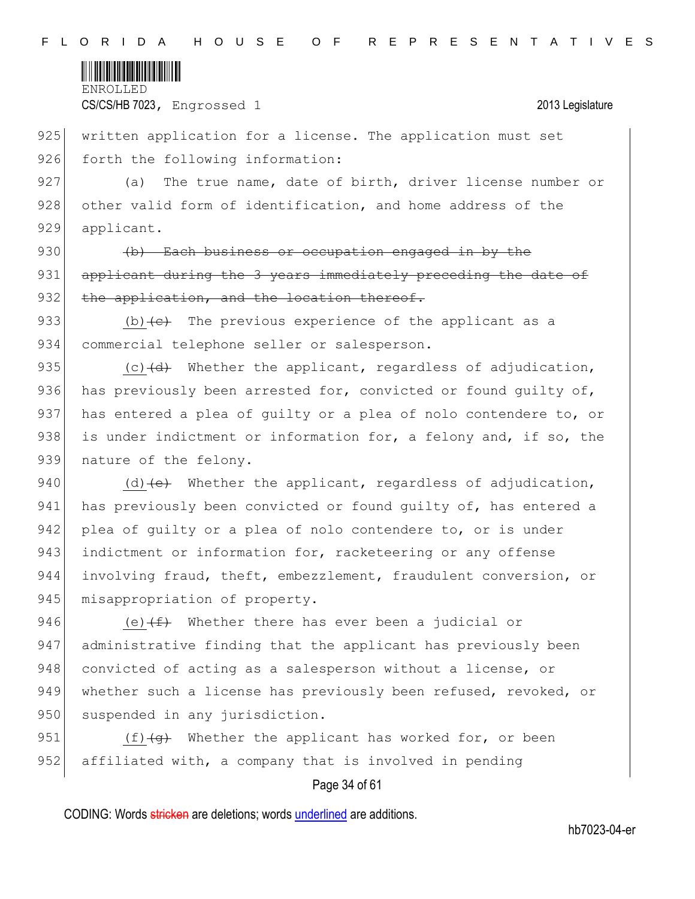

925 written application for a license. The application must set 926 forth the following information:

927 (a) The true name, date of birth, driver license number or 928 other valid form of identification, and home address of the 929 applicant.

930 (b) Each business or occupation engaged in by the 931 applicant during the 3 years immediately preceding the date of 932 the application, and the location thereof.

933 (b)  $\left\{e\right\}$  The previous experience of the applicant as a 934 commercial telephone seller or salesperson.

935 (c)  $\left(\frac{d}{d} \right)$  Whether the applicant, regardless of adjudication, 936 has previously been arrested for, convicted or found guilty of, 937 has entered a plea of quilty or a plea of nolo contendere to, or 938 is under indictment or information for, a felony and, if so, the 939 nature of the felony.

940 (d)  $\left(e\right)$  Whether the applicant, regardless of adjudication, 941 has previously been convicted or found quilty of, has entered a 942 plea of guilty or a plea of nolo contendere to, or is under 943 indictment or information for, racketeering or any offense 944 involving fraud, theft, embezzlement, fraudulent conversion, or 945 misappropriation of property.

946 (e) $(f+$  Whether there has ever been a judicial or 947 administrative finding that the applicant has previously been 948 convicted of acting as a salesperson without a license, or 949 whether such a license has previously been refused, revoked, or 950 suspended in any jurisdiction.

951  $(f)\left(\alpha\right)$  Whether the applicant has worked for, or been 952 affiliated with, a company that is involved in pending

# Page 34 of 61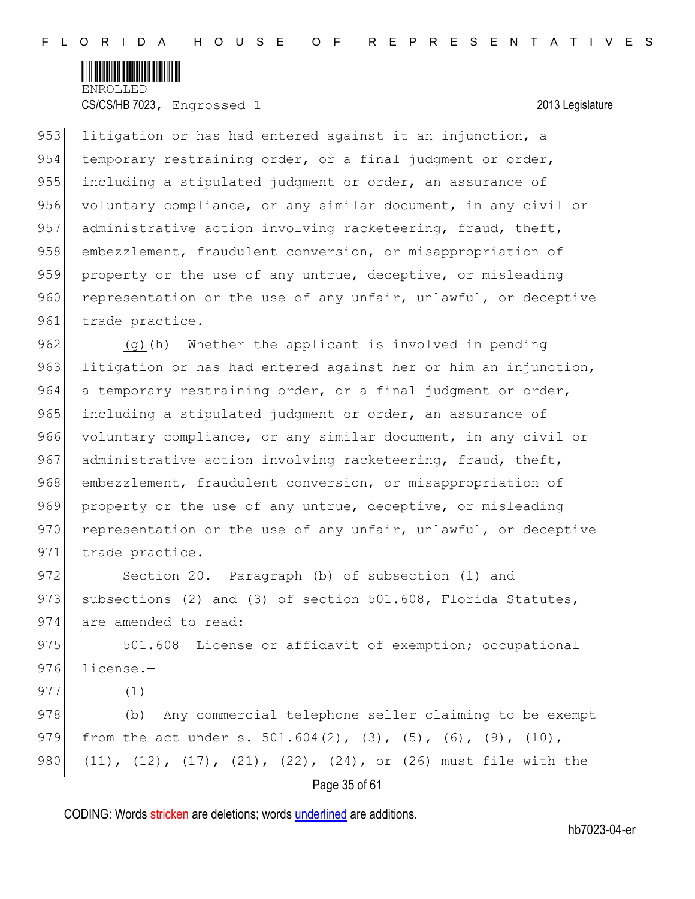

953 litigation or has had entered against it an injunction, a 954 temporary restraining order, or a final judgment or order, 955 including a stipulated judgment or order, an assurance of 956 voluntary compliance, or any similar document, in any civil or 957 administrative action involving racketeering, fraud, theft, 958 embezzlement, fraudulent conversion, or misappropriation of 959 property or the use of any untrue, deceptive, or misleading 960 representation or the use of any unfair, unlawful, or deceptive 961 trade practice.

962 (g) $\frac{h}{h}$  Whether the applicant is involved in pending 963 litigation or has had entered against her or him an injunction, 964 a temporary restraining order, or a final judgment or order, 965 including a stipulated judgment or order, an assurance of 966 voluntary compliance, or any similar document, in any civil or 967 administrative action involving racketeering, fraud, theft, 968 embezzlement, fraudulent conversion, or misappropriation of 969 property or the use of any untrue, deceptive, or misleading 970 representation or the use of any unfair, unlawful, or deceptive 971 trade practice.

972 Section 20. Paragraph (b) of subsection (1) and 973 subsections (2) and (3) of section  $501.608$ , Florida Statutes, 974 are amended to read:

975 501.608 License or affidavit of exemption; occupational 976 license.-

977 (1)

978 (b) Any commercial telephone seller claiming to be exempt 979 from the act under s. 501.604(2), (3), (5), (6), (9), (10), 980 (11), (12), (17), (21), (22), (24), or (26) must file with the

# Page 35 of 61

CODING: Words stricken are deletions; words underlined are additions.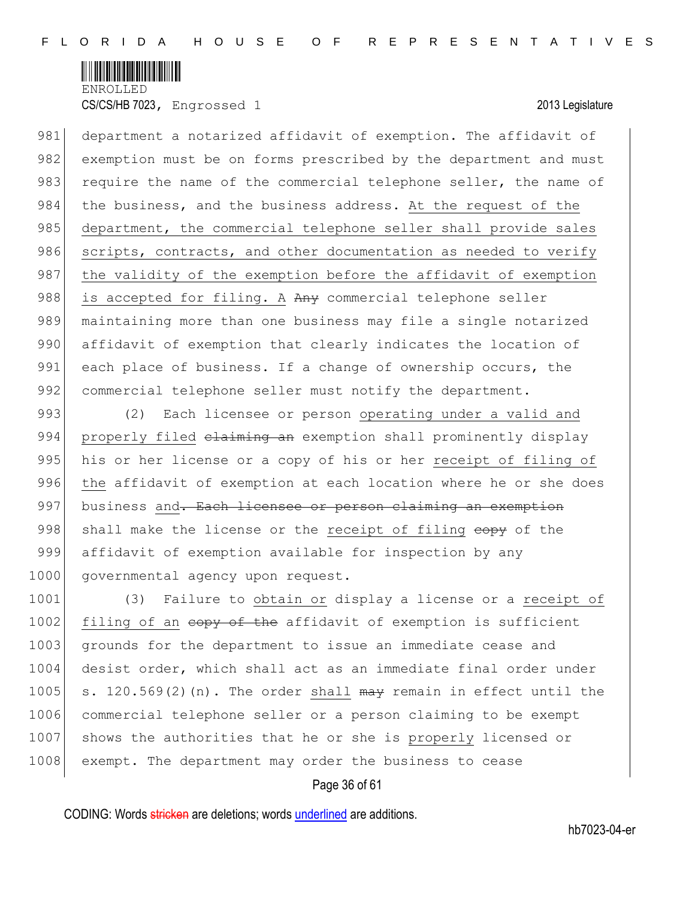

981 department a notarized affidavit of exemption. The affidavit of 982 exemption must be on forms prescribed by the department and must 983 require the name of the commercial telephone seller, the name of 984 the business, and the business address. At the request of the 985 department, the commercial telephone seller shall provide sales 986 scripts, contracts, and other documentation as needed to verify 987 the validity of the exemption before the affidavit of exemption 988 is accepted for filing. A Any commercial telephone seller 989 maintaining more than one business may file a single notarized 990 affidavit of exemption that clearly indicates the location of 991 each place of business. If a change of ownership occurs, the 992 commercial telephone seller must notify the department.

993 (2) Each licensee or person operating under a valid and 994 properly filed claiming an exemption shall prominently display 995 his or her license or a copy of his or her receipt of filing of 996 the affidavit of exemption at each location where he or she does 997 business and. Each licensee or person claiming an exemption 998 shall make the license or the receipt of filing  $e^{i\theta}$  of the 999 affidavit of exemption available for inspection by any 1000 governmental agency upon request.

1001 (3) Failure to obtain or display a license or a receipt of 1002 filing of an eopy of the affidavit of exemption is sufficient 1003 grounds for the department to issue an immediate cease and 1004 desist order, which shall act as an immediate final order under 1005 s. 120.569(2)(n). The order shall  $\theta$  may remain in effect until the 1006 commercial telephone seller or a person claiming to be exempt 1007 shows the authorities that he or she is properly licensed or 1008 exempt. The department may order the business to cease

### Page 36 of 61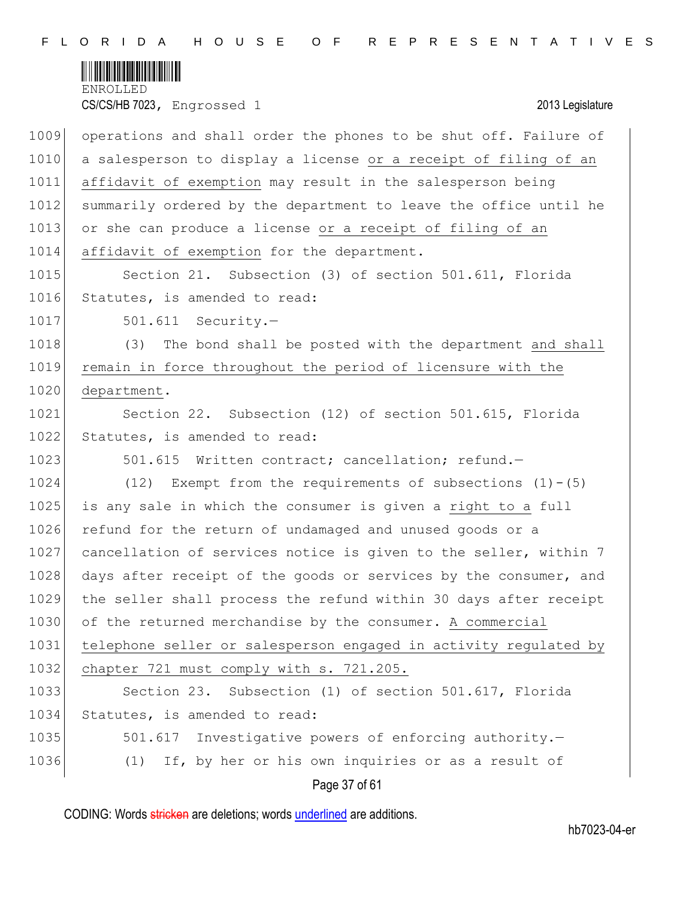

| 1009 | operations and shall order the phones to be shut off. Failure of |
|------|------------------------------------------------------------------|
| 1010 | a salesperson to display a license or a receipt of filing of an  |
| 1011 | affidavit of exemption may result in the salesperson being       |
| 1012 | summarily ordered by the department to leave the office until he |
| 1013 | or she can produce a license or a receipt of filing of an        |
| 1014 | affidavit of exemption for the department.                       |
| 1015 | Section 21. Subsection (3) of section 501.611, Florida           |
| 1016 | Statutes, is amended to read:                                    |
| 1017 | $501.611$ Security.-                                             |
| 1018 | (3) The bond shall be posted with the department and shall       |
| 1019 | remain in force throughout the period of licensure with the      |
| 1020 | department.                                                      |
| 1021 | Section 22. Subsection (12) of section 501.615, Florida          |
| 1022 | Statutes, is amended to read:                                    |
| 1023 | 501.615 Written contract; cancellation; refund.-                 |
| 1024 | (12) Exempt from the requirements of subsections $(1) - (5)$     |
| 1025 | is any sale in which the consumer is given a right to a full     |
| 1026 | refund for the return of undamaged and unused goods or a         |
| 1027 | cancellation of services notice is given to the seller, within 7 |
| 1028 | days after receipt of the goods or services by the consumer, and |
| 1029 | the seller shall process the refund within 30 days after receipt |
| 1030 | of the returned merchandise by the consumer. A commercial        |
| 1031 | telephone seller or salesperson engaged in activity regulated by |
| 1032 | chapter 721 must comply with s. 721.205.                         |
| 1033 | Subsection (1) of section 501.617, Florida<br>Section 23.        |
| 1034 | Statutes, is amended to read:                                    |
| 1035 | 501.617<br>Investigative powers of enforcing authority.-         |
| 1036 | If, by her or his own inquiries or as a result of<br>(1)         |
|      | Page 37 of 61                                                    |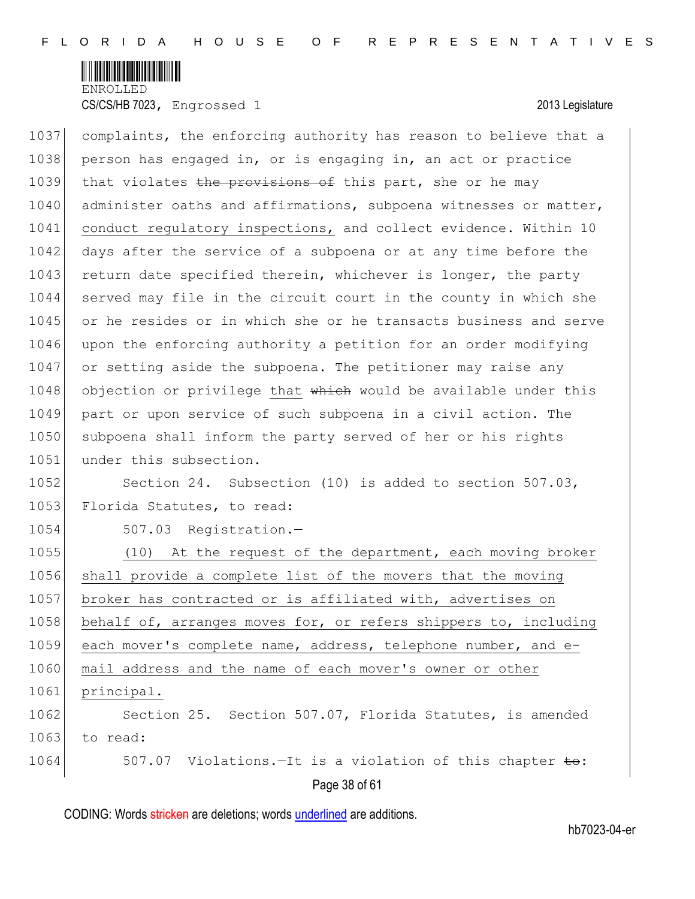

1037 complaints, the enforcing authority has reason to believe that a 1038 person has engaged in, or is engaging in, an act or practice 1039 that violates the provisions of this part, she or he may 1040 administer oaths and affirmations, subpoena witnesses or matter, 1041 conduct regulatory inspections, and collect evidence. Within 10 1042 days after the service of a subpoena or at any time before the 1043 return date specified therein, whichever is longer, the party 1044 served may file in the circuit court in the county in which she 1045 or he resides or in which she or he transacts business and serve 1046 upon the enforcing authority a petition for an order modifying 1047 or setting aside the subpoena. The petitioner may raise any 1048 objection or privilege that which would be available under this 1049 part or upon service of such subpoena in a civil action. The 1050 subpoena shall inform the party served of her or his rights 1051 under this subsection. 1052 Section 24. Subsection (10) is added to section 507.03, 1053 Florida Statutes, to read: 1054 507.03 Registration.— 1055 (10) At the request of the department, each moving broker 1056 shall provide a complete list of the movers that the moving 1057 broker has contracted or is affiliated with, advertises on 1058 behalf of, arranges moves for, or refers shippers to, including 1059 each mover's complete name, address, telephone number, and e-1060 mail address and the name of each mover's owner or other

1061 principal.

1062 Section 25. Section 507.07, Florida Statutes, is amended  $1063$  to read:

Page 38 of 61 1064 507.07 Violations.—It is a violation of this chapter to: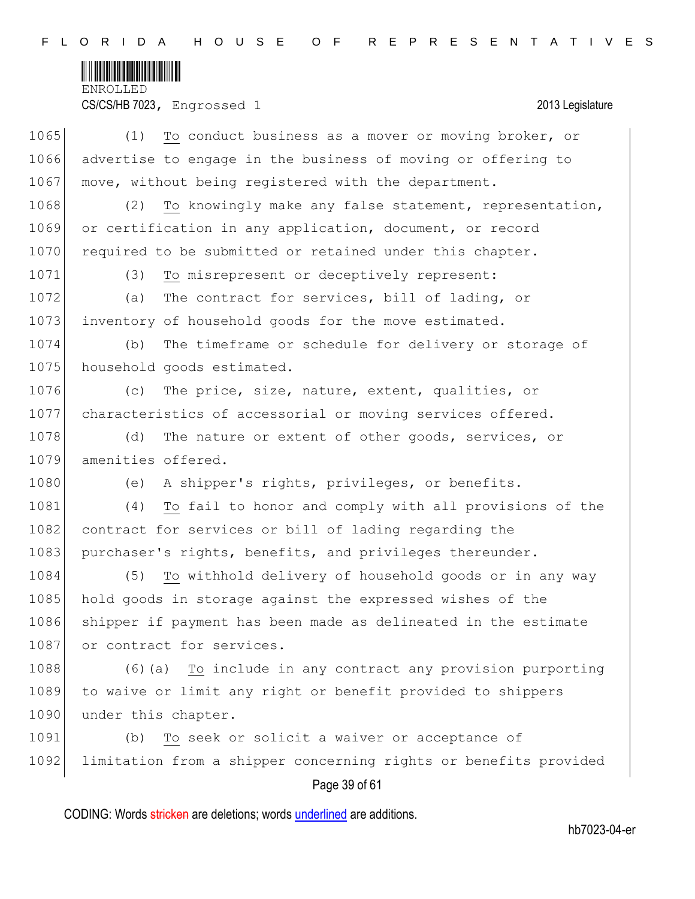

CS/CS/HB 7023, Engrossed 1 2013 Legislature

| 1065 | (1)<br>To conduct business as a mover or moving broker, or       |
|------|------------------------------------------------------------------|
| 1066 | advertise to engage in the business of moving or offering to     |
| 1067 | move, without being registered with the department.              |
| 1068 | To knowingly make any false statement, representation,<br>(2)    |
| 1069 | or certification in any application, document, or record         |
| 1070 | required to be submitted or retained under this chapter.         |
| 1071 | To misrepresent or deceptively represent:<br>(3)                 |
| 1072 | The contract for services, bill of lading, or<br>(a)             |
| 1073 | inventory of household goods for the move estimated.             |
| 1074 | The timeframe or schedule for delivery or storage of<br>(b)      |
| 1075 | household goods estimated.                                       |
| 1076 | The price, size, nature, extent, qualities, or<br>(C)            |
| 1077 | characteristics of accessorial or moving services offered.       |
| 1078 | (d)<br>The nature or extent of other goods, services, or         |
| 1079 | amenities offered.                                               |
| 1080 | (e)<br>A shipper's rights, privileges, or benefits.              |
| 1081 | To fail to honor and comply with all provisions of the<br>(4)    |
| 1082 | contract for services or bill of lading regarding the            |
| 1083 | purchaser's rights, benefits, and privileges thereunder.         |
| 1084 | (5)<br>To withhold delivery of household goods or in any way     |
| 1085 | hold goods in storage against the expressed wishes of the        |
| 1086 | shipper if payment has been made as delineated in the estimate   |
| 1087 | or contract for services.                                        |
| 1088 | To include in any contract any provision purporting<br>$(6)$ (a) |
| 1089 | to waive or limit any right or benefit provided to shippers      |
| 1090 | under this chapter.                                              |
| 1091 | To seek or solicit a waiver or acceptance of<br>(b)              |
| 1092 | limitation from a shipper concerning rights or benefits provided |
|      | Page 39 of 61                                                    |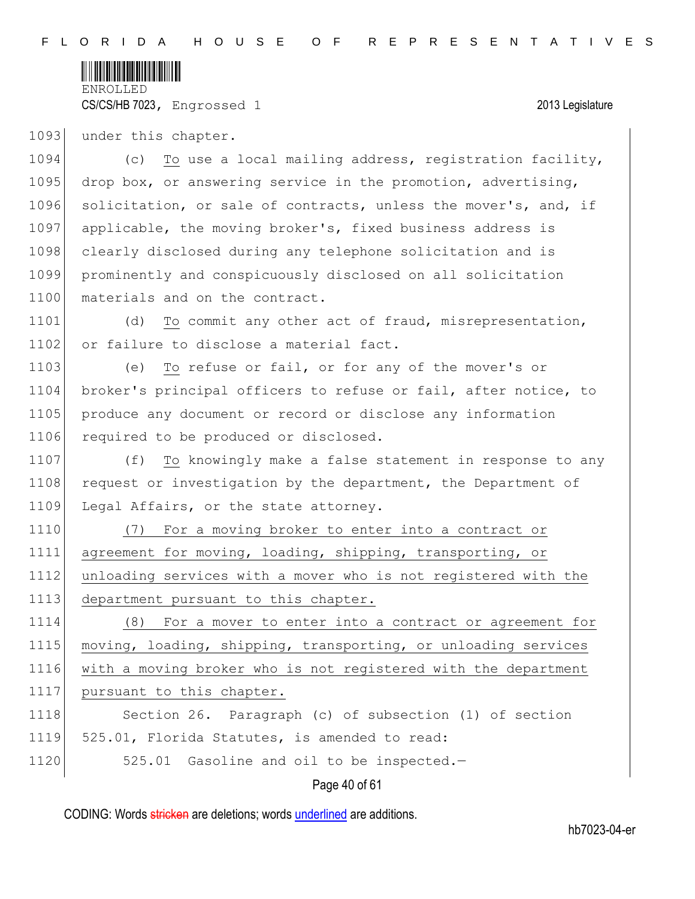

CS/CS/HB 7023, Engrossed 1 2013 Legislature

1093 under this chapter.

1094 (c) To use a local mailing address, registration facility, 1095 drop box, or answering service in the promotion, advertising, 1096 solicitation, or sale of contracts, unless the mover's, and, if 1097 applicable, the moving broker's, fixed business address is 1098 clearly disclosed during any telephone solicitation and is 1099 prominently and conspicuously disclosed on all solicitation 1100 materials and on the contract.

1101 (d) To commit any other act of fraud, misrepresentation, 1102 or failure to disclose a material fact.

1103 (e) To refuse or fail, or for any of the mover's or 1104 broker's principal officers to refuse or fail, after notice, to 1105 produce any document or record or disclose any information 1106 required to be produced or disclosed.

1107 (f) To knowingly make a false statement in response to any 1108 request or investigation by the department, the Department of 1109 Legal Affairs, or the state attorney.

1110 (7) For a moving broker to enter into a contract or agreement for moving, loading, shipping, transporting, or unloading services with a mover who is not registered with the department pursuant to this chapter.

1114 (8) For a mover to enter into a contract or agreement for 1115 moving, loading, shipping, transporting, or unloading services 1116 with a moving broker who is not registered with the department 1117 pursuant to this chapter.

1118 Section 26. Paragraph (c) of subsection (1) of section 1119 525.01, Florida Statutes, is amended to read:

1120 525.01 Gasoline and oil to be inspected.-

Page 40 of 61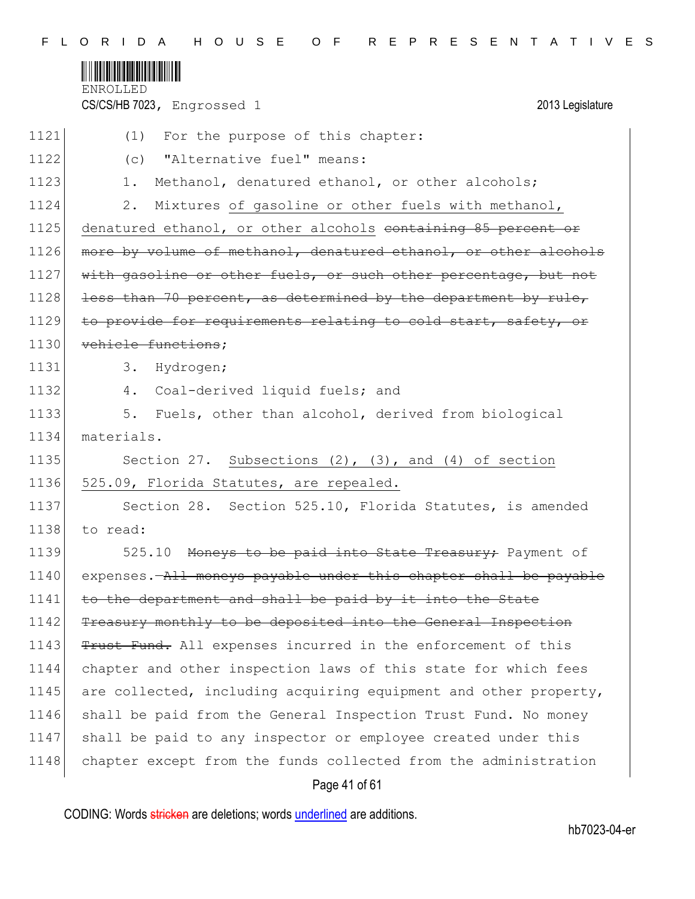

CS/CS/HB 7023, Engrossed 1 2013 Legislature

| 1121 | For the purpose of this chapter:<br>(1)                          |
|------|------------------------------------------------------------------|
| 1122 | "Alternative fuel" means:<br>(c)                                 |
| 1123 | Methanol, denatured ethanol, or other alcohols;<br>$1$ .         |
| 1124 | Mixtures of gasoline or other fuels with methanol,<br>2.         |
| 1125 | denatured ethanol, or other alcohols containing 85 percent or    |
| 1126 | more by volume of methanol, denatured ethanol, or other alcohols |
| 1127 | with gasoline or other fuels, or such other percentage, but not  |
| 1128 | less than 70 percent, as determined by the department by rule,   |
| 1129 | to provide for requirements relating to cold start, safety, or   |
| 1130 | vehicle functions;                                               |
| 1131 | Hydrogen;<br>3.                                                  |
| 1132 | 4. Coal-derived liquid fuels; and                                |
| 1133 | 5.<br>Fuels, other than alcohol, derived from biological         |
| 1134 | materials.                                                       |
| 1135 | Section 27. Subsections $(2)$ , $(3)$ , and $(4)$ of section     |
| 1136 | 525.09, Florida Statutes, are repealed.                          |
| 1137 | Section 28. Section 525.10, Florida Statutes, is amended         |
| 1138 | to read:                                                         |
| 1139 | 525.10 Moneys to be paid into State Treasury; Payment of         |
| 1140 | expenses.—All moneys payable under this chapter shall be payable |
| 1141 | to the department and shall be paid by it into the State         |
| 1142 | Treasury monthly to be deposited into the General Inspection     |
| 1143 | Trust Fund. All expenses incurred in the enforcement of this     |
| 1144 | chapter and other inspection laws of this state for which fees   |
| 1145 | are collected, including acquiring equipment and other property, |
| 1146 | shall be paid from the General Inspection Trust Fund. No money   |
| 1147 | shall be paid to any inspector or employee created under this    |
| 1148 | chapter except from the funds collected from the administration  |
|      |                                                                  |

# Page 41 of 61

CODING: Words stricken are deletions; words underlined are additions.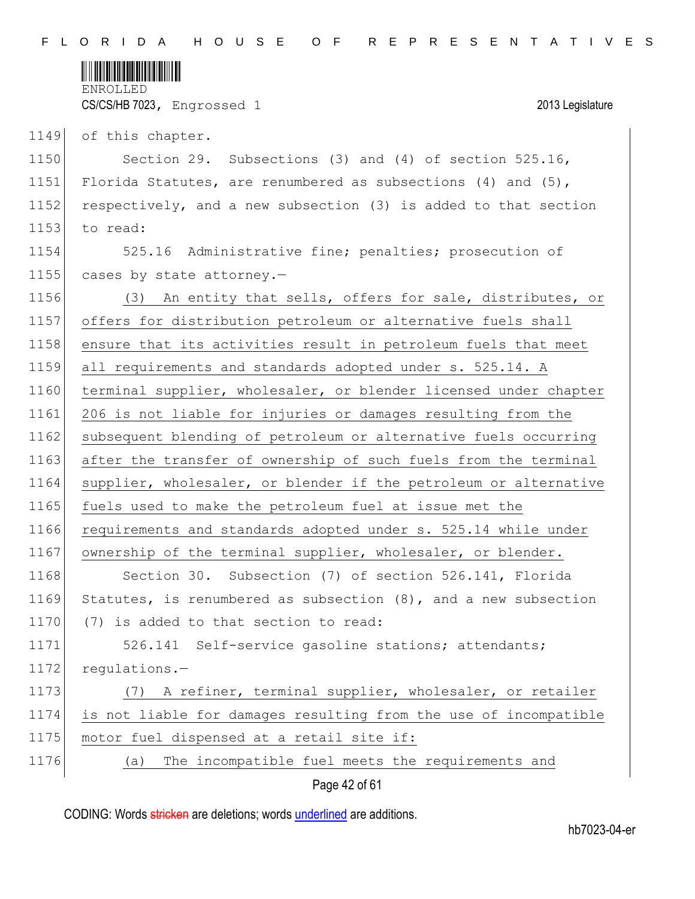

CS/CS/HB 7023, Engrossed 1 2013 Legislature

1149 of this chapter.

1150 Section 29. Subsections (3) and (4) of section 525.16, 1151 Florida Statutes, are renumbered as subsections (4) and (5), 1152 respectively, and a new subsection (3) is added to that section 1153 to read:

1154 525.16 Administrative fine; penalties; prosecution of 1155 cases by state attorney.-

1156 (3) An entity that sells, offers for sale, distributes, or 1157 offers for distribution petroleum or alternative fuels shall 1158 ensure that its activities result in petroleum fuels that meet 1159 all requirements and standards adopted under s. 525.14. A 1160 terminal supplier, wholesaler, or blender licensed under chapter 1161 206 is not liable for injuries or damages resulting from the 1162 subsequent blending of petroleum or alternative fuels occurring 1163 after the transfer of ownership of such fuels from the terminal 1164 supplier, wholesaler, or blender if the petroleum or alternative 1165 fuels used to make the petroleum fuel at issue met the 1166 requirements and standards adopted under s. 525.14 while under 1167 ownership of the terminal supplier, wholesaler, or blender. 1168 Section 30. Subsection (7) of section 526.141, Florida 1169 Statutes, is renumbered as subsection (8), and a new subsection 1170 (7) is added to that section to read: 1171 526.141 Self-service gasoline stations; attendants;

1172 regulations.-

1173 (7) A refiner, terminal supplier, wholesaler, or retailer 1174 is not liable for damages resulting from the use of incompatible 1175 motor fuel dispensed at a retail site if: 1176 (a) The incompatible fuel meets the requirements and

Page 42 of 61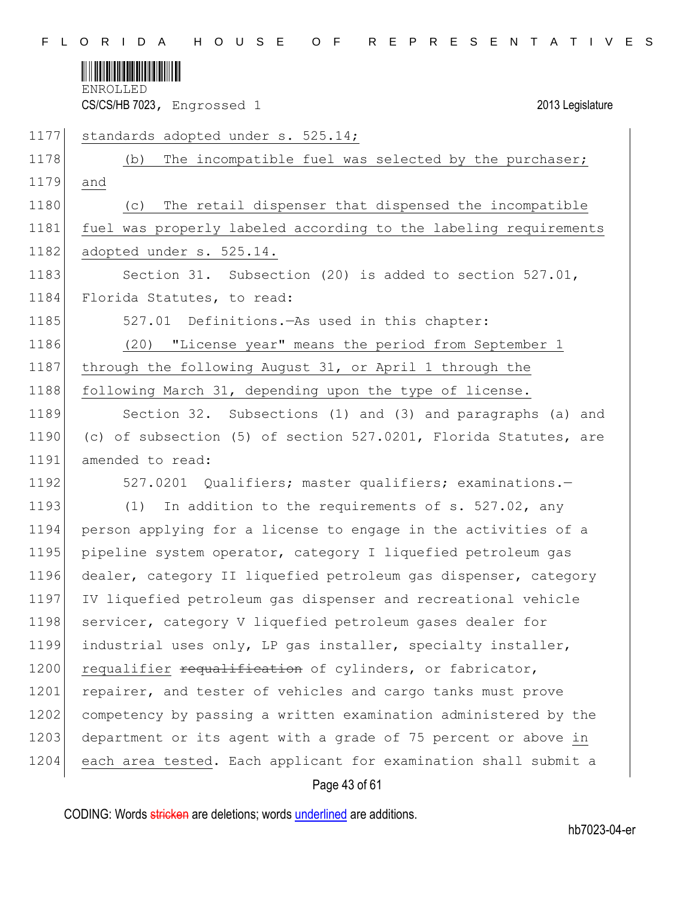

CS/CS/HB 7023, Engrossed 1 2013 Legislature

1177 standards adopted under s. 525.14;

1178 (b) The incompatible fuel was selected by the purchaser; 1179 and 1180 (c) The retail dispenser that dispensed the incompatible 1181 fuel was properly labeled according to the labeling requirements 1182 adopted under s. 525.14. 1183 Section 31. Subsection (20) is added to section 527.01, 1184 Florida Statutes, to read: 1185 527.01 Definitions.—As used in this chapter: 1186 (20) "License year" means the period from September 1 1187 through the following August 31, or April 1 through the 1188 following March 31, depending upon the type of license. 1189 Section 32. Subsections (1) and (3) and paragraphs (a) and 1190 (c) of subsection (5) of section 527.0201, Florida Statutes, are 1191 amended to read: 1192 527.0201 Qualifiers; master qualifiers; examinations. 1193 (1) In addition to the requirements of s. 527.02, any 1194 person applying for a license to engage in the activities of a 1195 pipeline system operator, category I liquefied petroleum gas 1196 dealer, category II liquefied petroleum gas dispenser, category 1197 IV liquefied petroleum gas dispenser and recreational vehicle 1198 servicer, category V liquefied petroleum gases dealer for 1199 industrial uses only, LP gas installer, specialty installer, 1200 requalifier requalification of cylinders, or fabricator, 1201 repairer, and tester of vehicles and cargo tanks must prove 1202 competency by passing a written examination administered by the 1203 department or its agent with a grade of 75 percent or above in 1204 each area tested. Each applicant for examination shall submit a

# Page 43 of 61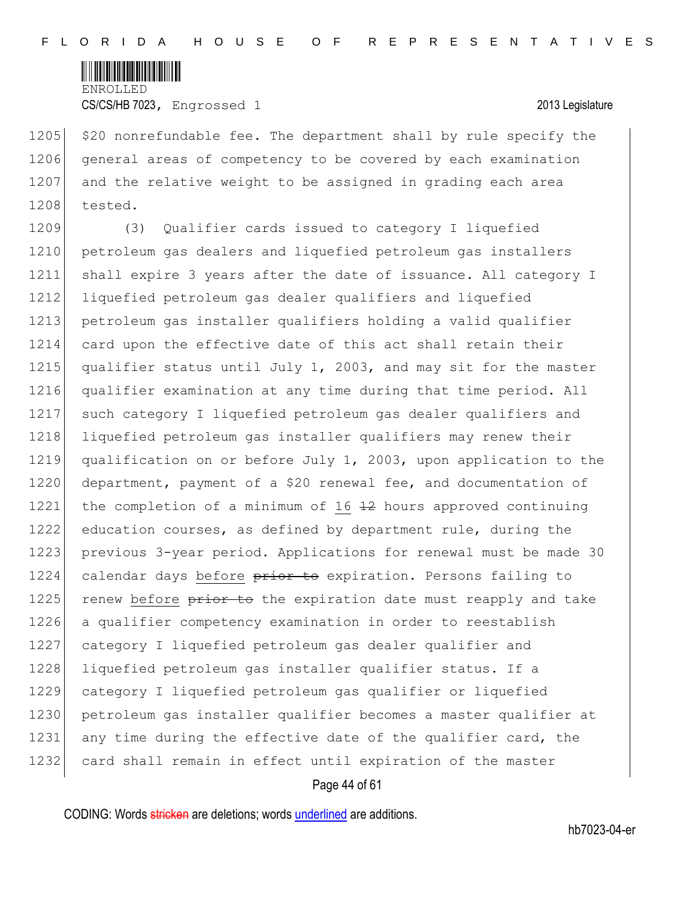

1205 \$20 nonrefundable fee. The department shall by rule specify the 1206 general areas of competency to be covered by each examination 1207 and the relative weight to be assigned in grading each area 1208 tested.

1209 (3) Qualifier cards issued to category I liquefied 1210 petroleum gas dealers and liquefied petroleum gas installers 1211 shall expire 3 years after the date of issuance. All category I 1212 liquefied petroleum gas dealer qualifiers and liquefied 1213 petroleum gas installer qualifiers holding a valid qualifier 1214 card upon the effective date of this act shall retain their 1215 qualifier status until July 1, 2003, and may sit for the master 1216 qualifier examination at any time during that time period. All 1217 such category I liquefied petroleum gas dealer qualifiers and 1218 liquefied petroleum gas installer qualifiers may renew their 1219 qualification on or before July 1, 2003, upon application to the 1220 department, payment of a \$20 renewal fee, and documentation of 1221 the completion of a minimum of 16  $\pm$ 2 hours approved continuing 1222 education courses, as defined by department rule, during the 1223 previous 3-year period. Applications for renewal must be made 30 1224 calendar days before prior to expiration. Persons failing to 1225 renew before  $\frac{1}{2}$  renew before  $\frac{1}{2}$  renew to the expiration date must reapply and take 1226 a qualifier competency examination in order to reestablish 1227 category I liquefied petroleum gas dealer qualifier and 1228 liquefied petroleum gas installer qualifier status. If a 1229 category I liquefied petroleum gas qualifier or liquefied 1230 petroleum gas installer qualifier becomes a master qualifier at 1231 any time during the effective date of the qualifier card, the 1232 card shall remain in effect until expiration of the master

### Page 44 of 61

CODING: Words stricken are deletions; words underlined are additions.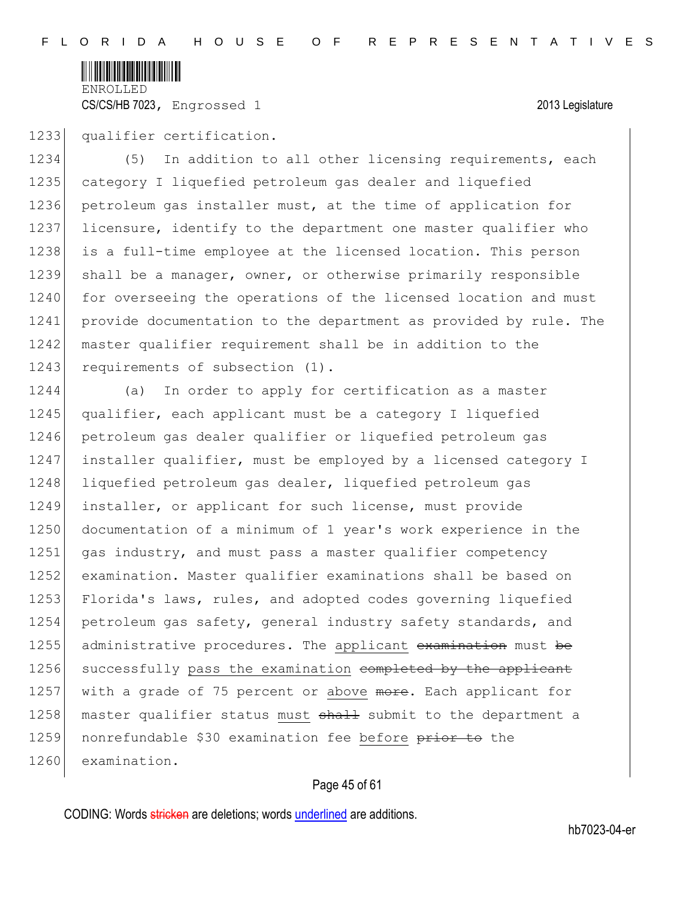

1233 qualifier certification.

1234 (5) In addition to all other licensing requirements, each 1235 category I liquefied petroleum gas dealer and liquefied 1236 petroleum gas installer must, at the time of application for 1237 licensure, identify to the department one master qualifier who 1238 is a full-time employee at the licensed location. This person 1239 shall be a manager, owner, or otherwise primarily responsible 1240 for overseeing the operations of the licensed location and must 1241 provide documentation to the department as provided by rule. The 1242 master qualifier requirement shall be in addition to the 1243 requirements of subsection (1).

1244 (a) In order to apply for certification as a master 1245 qualifier, each applicant must be a category I liquefied 1246 petroleum gas dealer qualifier or liquefied petroleum gas 1247 installer qualifier, must be employed by a licensed category I 1248 liquefied petroleum gas dealer, liquefied petroleum gas 1249 installer, or applicant for such license, must provide 1250 documentation of a minimum of 1 year's work experience in the 1251 gas industry, and must pass a master qualifier competency 1252 examination. Master qualifier examinations shall be based on 1253 Florida's laws, rules, and adopted codes governing liquefied 1254 petroleum gas safety, general industry safety standards, and 1255 administrative procedures. The applicant examination must be 1256 successfully pass the examination completed by the applicant 1257 with a grade of 75 percent or above more. Each applicant for 1258 master qualifier status must shall submit to the department a 1259 nonrefundable \$30 examination fee before prior to the 1260 examination.

# Page 45 of 61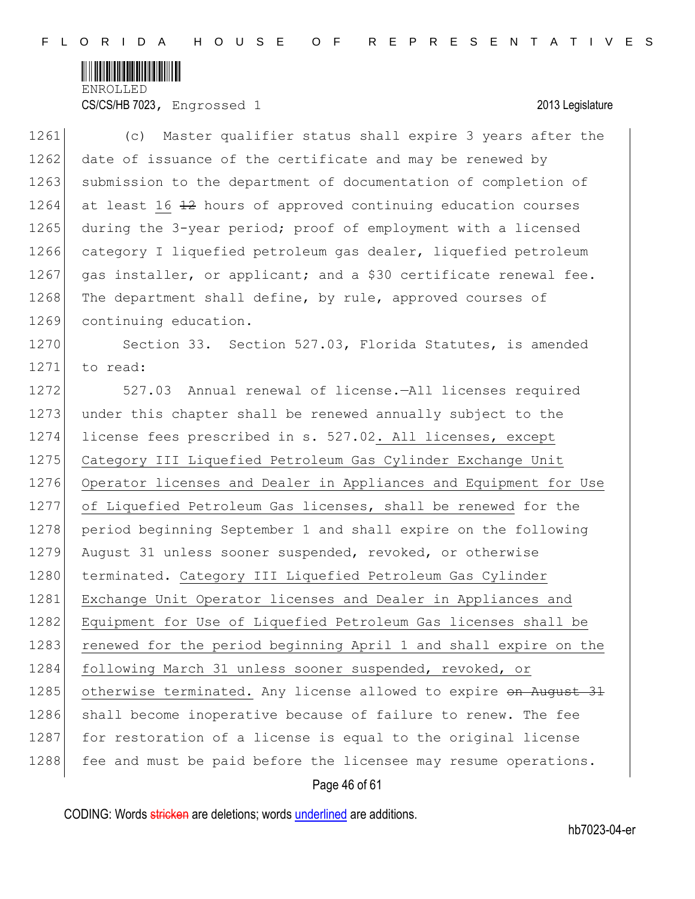

CS/CS/HB 7023, Engrossed 1 2013 Legislature

| 1261 | Master qualifier status shall expire 3 years after the<br>(C)    |
|------|------------------------------------------------------------------|
| 1262 | date of issuance of the certificate and may be renewed by        |
| 1263 | submission to the department of documentation of completion of   |
| 1264 | at least 16 42 hours of approved continuing education courses    |
| 1265 | during the 3-year period; proof of employment with a licensed    |
| 1266 | category I liquefied petroleum gas dealer, liquefied petroleum   |
| 1267 | gas installer, or applicant; and a \$30 certificate renewal fee. |
| 1268 | The department shall define, by rule, approved courses of        |
| 1269 | continuing education.                                            |
| 1270 | Section 33. Section 527.03, Florida Statutes, is amended         |
| 1271 | to read:                                                         |
| 1272 | 527.03 Annual renewal of license.-All licenses required          |
| 1273 | under this chapter shall be renewed annually subject to the      |
| 1274 | license fees prescribed in s. 527.02. All licenses, except       |
| 1275 | Category III Liquefied Petroleum Gas Cylinder Exchange Unit      |
| 1276 | Operator licenses and Dealer in Appliances and Equipment for Use |
| 1277 | of Liquefied Petroleum Gas licenses, shall be renewed for the    |
| 1278 | period beginning September 1 and shall expire on the following   |
| 1279 | August 31 unless sooner suspended, revoked, or otherwise         |
| 1280 | terminated. Category III Liquefied Petroleum Gas Cylinder        |
| 1281 | Exchange Unit Operator licenses and Dealer in Appliances and     |
| 1282 | Equipment for Use of Liquefied Petroleum Gas licenses shall be   |
| 1283 | renewed for the period beginning April 1 and shall expire on the |
| 1284 | following March 31 unless sooner suspended, revoked, or          |
| 1285 | otherwise terminated. Any license allowed to expire on August 31 |
| 1286 | shall become inoperative because of failure to renew. The fee    |
| 1287 | for restoration of a license is equal to the original license    |
| 1288 | fee and must be paid before the licensee may resume operations.  |
|      | Page 46 of 61                                                    |

CODING: Words stricken are deletions; words underlined are additions.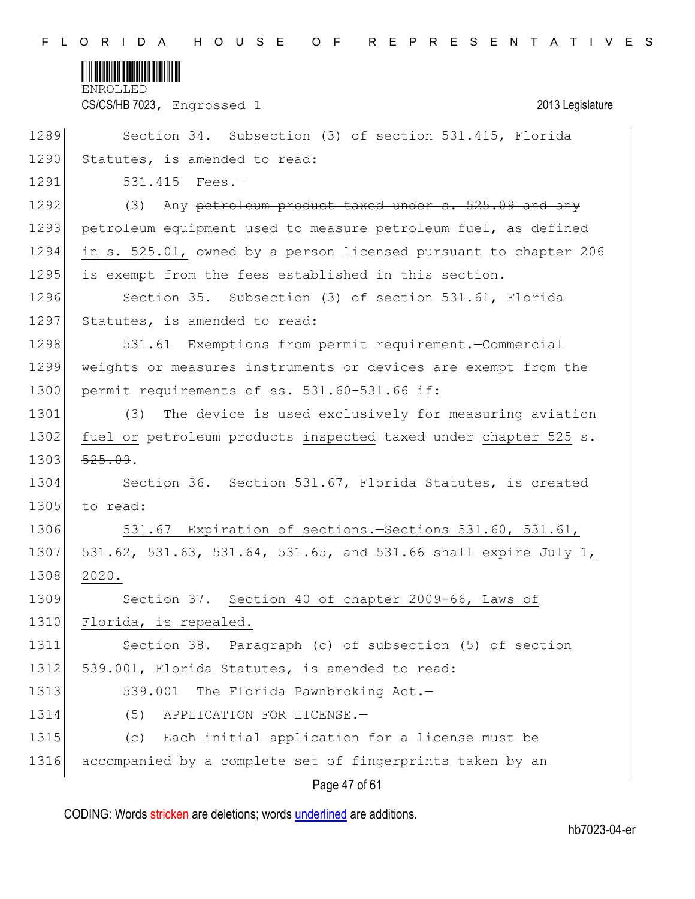

CS/CS/HB 7023, Engrossed 1 2013 Legislature

| 1289 | Section 34. Subsection (3) of section 531.415, Florida           |
|------|------------------------------------------------------------------|
| 1290 | Statutes, is amended to read:                                    |
| 1291 | $531.415$ Fees.-                                                 |
| 1292 | (3) Any petroleum product taxed under s. 525.09 and any          |
| 1293 | petroleum equipment used to measure petroleum fuel, as defined   |
| 1294 | in s. 525.01, owned by a person licensed pursuant to chapter 206 |
| 1295 | is exempt from the fees established in this section.             |
| 1296 | Section 35. Subsection (3) of section 531.61, Florida            |
| 1297 | Statutes, is amended to read:                                    |
| 1298 | 531.61 Exemptions from permit requirement.-Commercial            |
| 1299 | weights or measures instruments or devices are exempt from the   |
| 1300 | permit requirements of ss. 531.60-531.66 if:                     |
| 1301 | (3) The device is used exclusively for measuring aviation        |
| 1302 | fuel or petroleum products inspected taxed under chapter 525 s.  |
| 1303 | 525.09.                                                          |
| 1304 | Section 36. Section 531.67, Florida Statutes, is created         |
| 1305 | to read:                                                         |
| 1306 | 531.67 Expiration of sections. - Sections 531.60, 531.61,        |
| 1307 | 531.62, 531.63, 531.64, 531.65, and 531.66 shall expire July 1,  |
| 1308 | 2020.                                                            |
| 1309 | Section 37. Section 40 of chapter 2009-66, Laws of               |
| 1310 | Florida, is repealed.                                            |
| 1311 | Section 38. Paragraph (c) of subsection (5) of section           |
| 1312 | 539.001, Florida Statutes, is amended to read:                   |
| 1313 | The Florida Pawnbroking Act.-<br>539.001                         |
| 1314 | APPLICATION FOR LICENSE.-<br>(5)                                 |
| 1315 | Each initial application for a license must be<br>(C)            |
| 1316 | accompanied by a complete set of fingerprints taken by an        |
|      |                                                                  |

# Page 47 of 61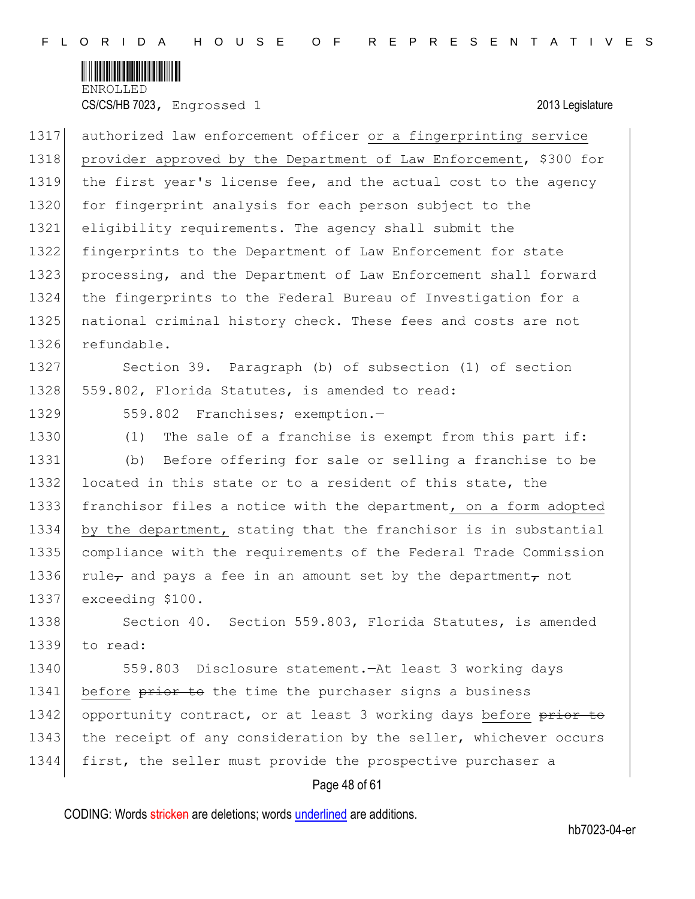

1317 authorized law enforcement officer or a fingerprinting service 1318 provider approved by the Department of Law Enforcement, \$300 for 1319 the first year's license fee, and the actual cost to the agency 1320 for fingerprint analysis for each person subject to the 1321 eligibility requirements. The agency shall submit the 1322 fingerprints to the Department of Law Enforcement for state 1323 processing, and the Department of Law Enforcement shall forward 1324 the fingerprints to the Federal Bureau of Investigation for a 1325 | national criminal history check. These fees and costs are not 1326 refundable. 1327 Section 39. Paragraph (b) of subsection (1) of section 1328 559.802, Florida Statutes, is amended to read: 1329 559.802 Franchises; exemption.-1330 (1) The sale of a franchise is exempt from this part if: 1331 (b) Before offering for sale or selling a franchise to be 1332 located in this state or to a resident of this state, the 1333 franchisor files a notice with the department, on a form adopted 1334 by the department, stating that the franchisor is in substantial 1335 compliance with the requirements of the Federal Trade Commission 1336 rule<sub>t</sub> and pays a fee in an amount set by the department<sub>r</sub> not 1337 exceeding \$100. 1338 Section 40. Section 559.803, Florida Statutes, is amended 1339 to read: 1340 559.803 Disclosure statement.—At least 3 working days 1341 before prior to the time the purchaser signs a business 1342 opportunity contract, or at least 3 working days before prior to 1343 the receipt of any consideration by the seller, whichever occurs 1344 first, the seller must provide the prospective purchaser a

# Page 48 of 61

CODING: Words stricken are deletions; words underlined are additions.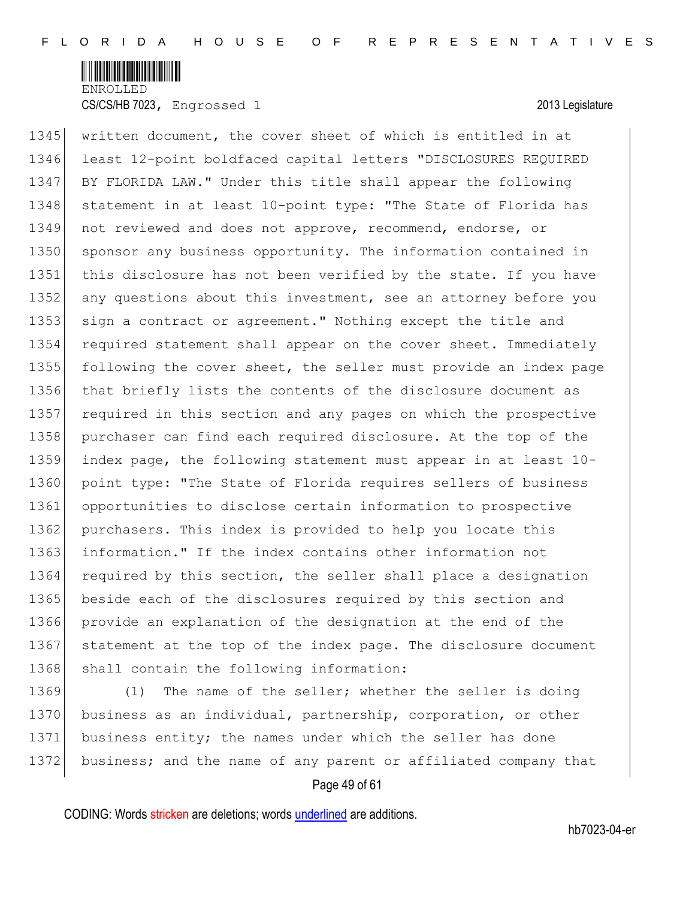

1345 written document, the cover sheet of which is entitled in at 1346 least 12-point boldfaced capital letters "DISCLOSURES REQUIRED 1347 BY FLORIDA LAW." Under this title shall appear the following 1348 statement in at least 10-point type: "The State of Florida has 1349 not reviewed and does not approve, recommend, endorse, or 1350 sponsor any business opportunity. The information contained in 1351 this disclosure has not been verified by the state. If you have 1352 any questions about this investment, see an attorney before you 1353 sign a contract or agreement." Nothing except the title and 1354 required statement shall appear on the cover sheet. Immediately 1355 following the cover sheet, the seller must provide an index page 1356 that briefly lists the contents of the disclosure document as 1357 required in this section and any pages on which the prospective 1358 purchaser can find each required disclosure. At the top of the 1359 index page, the following statement must appear in at least 10- 1360 point type: "The State of Florida requires sellers of business 1361 opportunities to disclose certain information to prospective 1362 purchasers. This index is provided to help you locate this 1363 information." If the index contains other information not 1364 required by this section, the seller shall place a designation 1365 beside each of the disclosures required by this section and 1366 provide an explanation of the designation at the end of the 1367 statement at the top of the index page. The disclosure document 1368 shall contain the following information:

1369 (1) The name of the seller; whether the seller is doing 1370 business as an individual, partnership, corporation, or other 1371 business entity; the names under which the seller has done 1372 business; and the name of any parent or affiliated company that

# Page 49 of 61

CODING: Words stricken are deletions; words underlined are additions.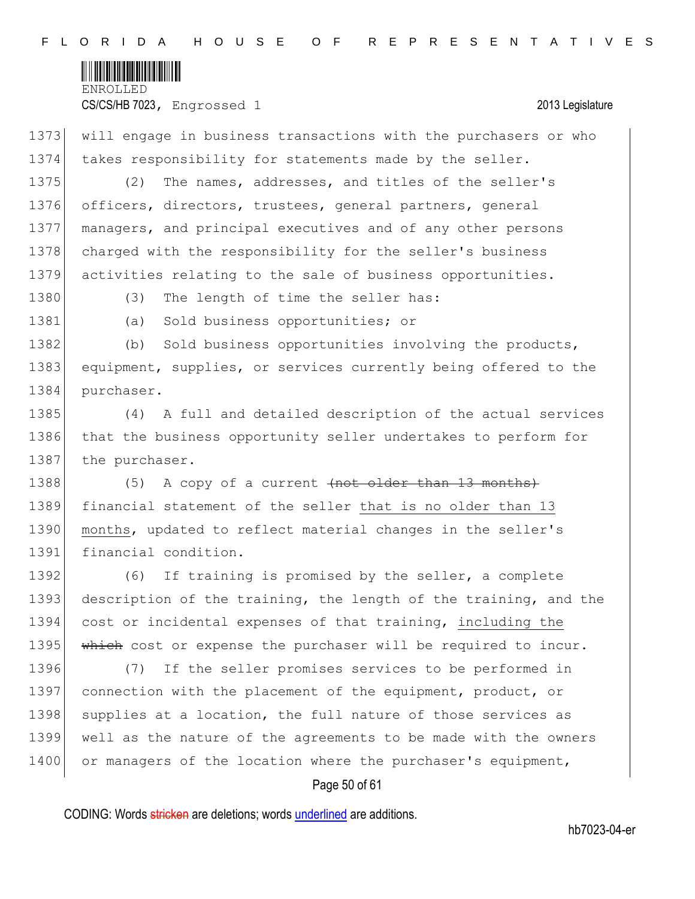

1373 will engage in business transactions with the purchasers or who 1374 takes responsibility for statements made by the seller. 1375 (2) The names, addresses, and titles of the seller's 1376 officers, directors, trustees, general partners, general 1377 managers, and principal executives and of any other persons 1378 charged with the responsibility for the seller's business 1379 activities relating to the sale of business opportunities. 1380 (3) The length of time the seller has: 1381 (a) Sold business opportunities; or 1382 (b) Sold business opportunities involving the products, 1383 equipment, supplies, or services currently being offered to the 1384 purchaser. 1385 (4) A full and detailed description of the actual services 1386 that the business opportunity seller undertakes to perform for 1387 the purchaser. 1388 (5) A copy of a current <del>(not older than 13 months)</del> 1389 financial statement of the seller that is no older than 13 1390 months, updated to reflect material changes in the seller's 1391 financial condition. 1392 (6) If training is promised by the seller, a complete 1393 description of the training, the length of the training, and the 1394 cost or incidental expenses of that training, including the 1395 Which cost or expense the purchaser will be required to incur. 1396 (7) If the seller promises services to be performed in 1397 connection with the placement of the equipment, product, or 1398 supplies at a location, the full nature of those services as 1399 well as the nature of the agreements to be made with the owners 1400 or managers of the location where the purchaser's equipment,

# Page 50 of 61

CODING: Words stricken are deletions; words underlined are additions.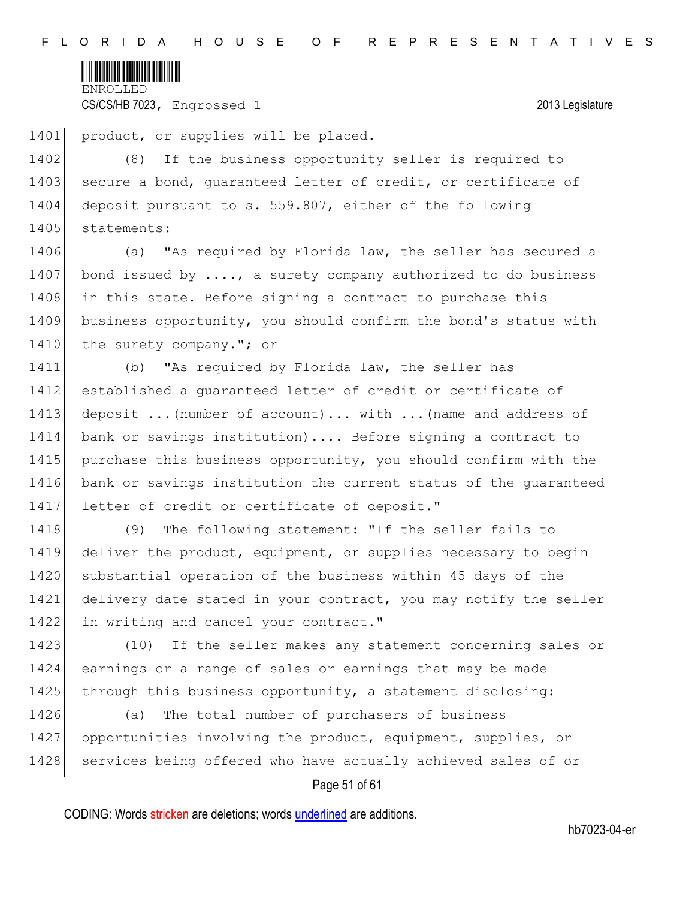

1401 product, or supplies will be placed.

1402 (8) If the business opportunity seller is required to 1403 secure a bond, quaranteed letter of credit, or certificate of 1404 deposit pursuant to s. 559.807, either of the following 1405 statements:

1406 (a) "As required by Florida law, the seller has secured a 1407 bond issued by  $\dots$ , a surety company authorized to do business 1408 in this state. Before signing a contract to purchase this 1409 business opportunity, you should confirm the bond's status with 1410 the surety company."; or

1411 (b) "As required by Florida law, the seller has 1412 established a guaranteed letter of credit or certificate of 1413 deposit ... (number of account)... with ... (name and address of 1414 bank or savings institution).... Before signing a contract to 1415 purchase this business opportunity, you should confirm with the 1416 bank or savings institution the current status of the quaranteed 1417 letter of credit or certificate of deposit."

1418 (9) The following statement: "If the seller fails to 1419 deliver the product, equipment, or supplies necessary to begin 1420 substantial operation of the business within 45 days of the 1421 delivery date stated in your contract, you may notify the seller 1422 in writing and cancel your contract."

1423 (10) If the seller makes any statement concerning sales or 1424 earnings or a range of sales or earnings that may be made 1425 through this business opportunity, a statement disclosing:

1426 (a) The total number of purchasers of business 1427 opportunities involving the product, equipment, supplies, or 1428 services being offered who have actually achieved sales of or

# Page 51 of 61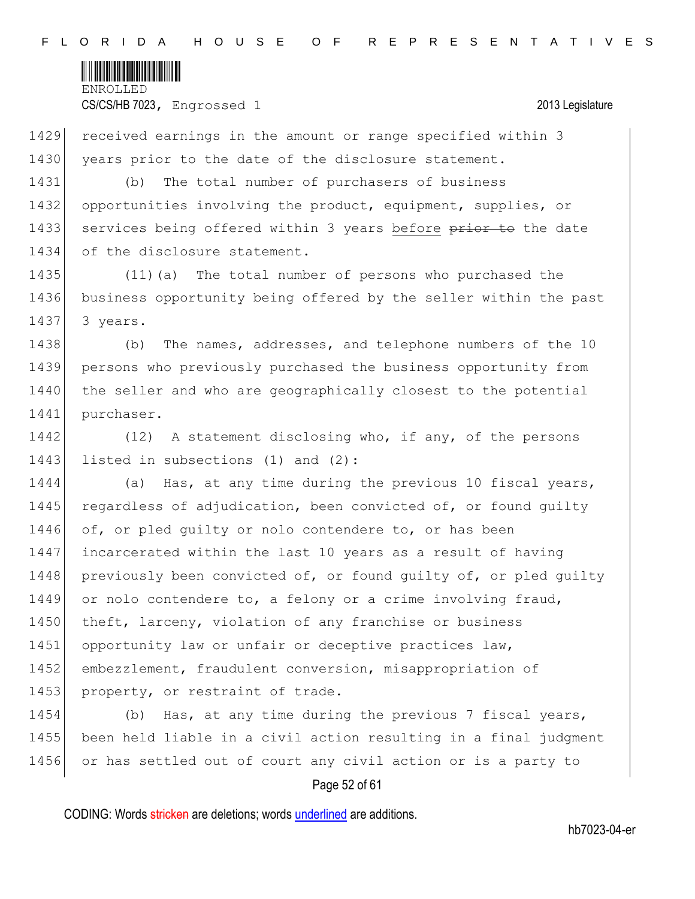

1429 received earnings in the amount or range specified within 3 1430 years prior to the date of the disclosure statement.

1431 (b) The total number of purchasers of business 1432 opportunities involving the product, equipment, supplies, or 1433 services being offered within 3 years before prior to the date 1434 of the disclosure statement.

1435 (11)(a) The total number of persons who purchased the 1436 business opportunity being offered by the seller within the past 1437 3 years.

1438 (b) The names, addresses, and telephone numbers of the 10 1439 persons who previously purchased the business opportunity from 1440 the seller and who are geographically closest to the potential 1441 purchaser.

1442 (12) A statement disclosing who, if any, of the persons 1443 listed in subsections (1) and (2):

1444 (a) Has, at any time during the previous 10 fiscal years, 1445 regardless of adjudication, been convicted of, or found quilty 1446 of, or pled guilty or nolo contendere to, or has been 1447 incarcerated within the last 10 years as a result of having 1448 previously been convicted of, or found quilty of, or pled quilty 1449 or nolo contendere to, a felony or a crime involving fraud, 1450 theft, larceny, violation of any franchise or business 1451 opportunity law or unfair or deceptive practices law, 1452 embezzlement, fraudulent conversion, misappropriation of 1453 property, or restraint of trade.

1454 (b) Has, at any time during the previous 7 fiscal years, 1455 been held liable in a civil action resulting in a final judgment 1456 or has settled out of court any civil action or is a party to

### Page 52 of 61

CODING: Words stricken are deletions; words underlined are additions.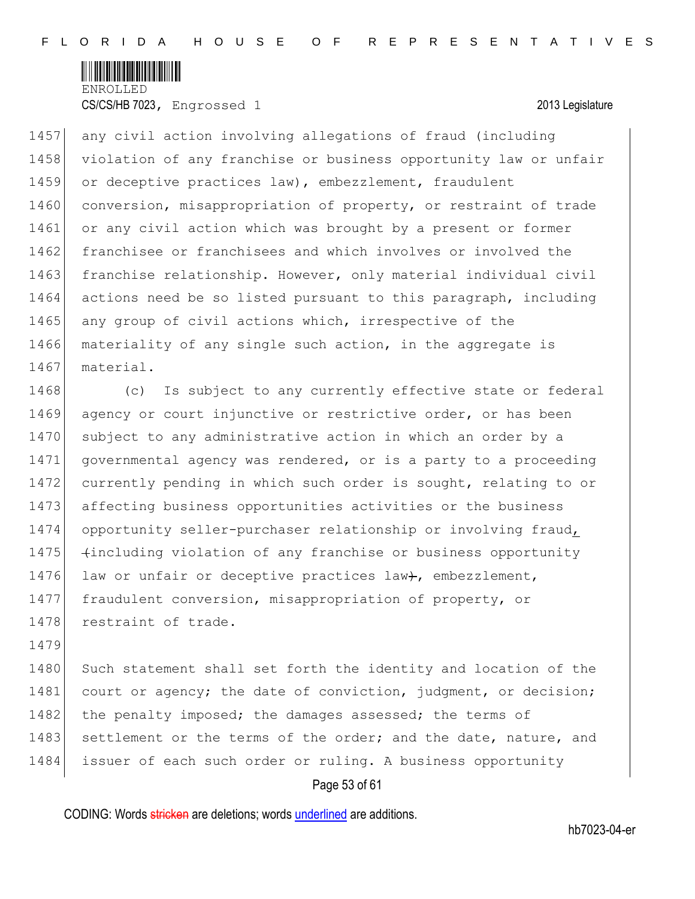

1457 any civil action involving allegations of fraud (including 1458 violation of any franchise or business opportunity law or unfair 1459 or deceptive practices law), embezzlement, fraudulent 1460 conversion, misappropriation of property, or restraint of trade 1461 or any civil action which was brought by a present or former 1462 franchisee or franchisees and which involves or involved the 1463 franchise relationship. However, only material individual civil 1464 actions need be so listed pursuant to this paragraph, including 1465 any group of civil actions which, irrespective of the 1466 materiality of any single such action, in the aggregate is 1467 material.

1468 (c) Is subject to any currently effective state or federal 1469 agency or court injunctive or restrictive order, or has been 1470 subject to any administrative action in which an order by a 1471 governmental agency was rendered, or is a party to a proceeding 1472 currently pending in which such order is sought, relating to or 1473 affecting business opportunities activities or the business 1474 opportunity seller-purchaser relationship or involving fraud, 1475 (including violation of any franchise or business opportunity 1476 law or unfair or deceptive practices law+, embezzlement, 1477 fraudulent conversion, misappropriation of property, or 1478 restraint of trade.

1479

1480 Such statement shall set forth the identity and location of the 1481 court or agency; the date of conviction, judgment, or decision; 1482 the penalty imposed; the damages assessed; the terms of 1483 settlement or the terms of the order; and the date, nature, and 1484 issuer of each such order or ruling. A business opportunity

# Page 53 of 61

CODING: Words stricken are deletions; words underlined are additions.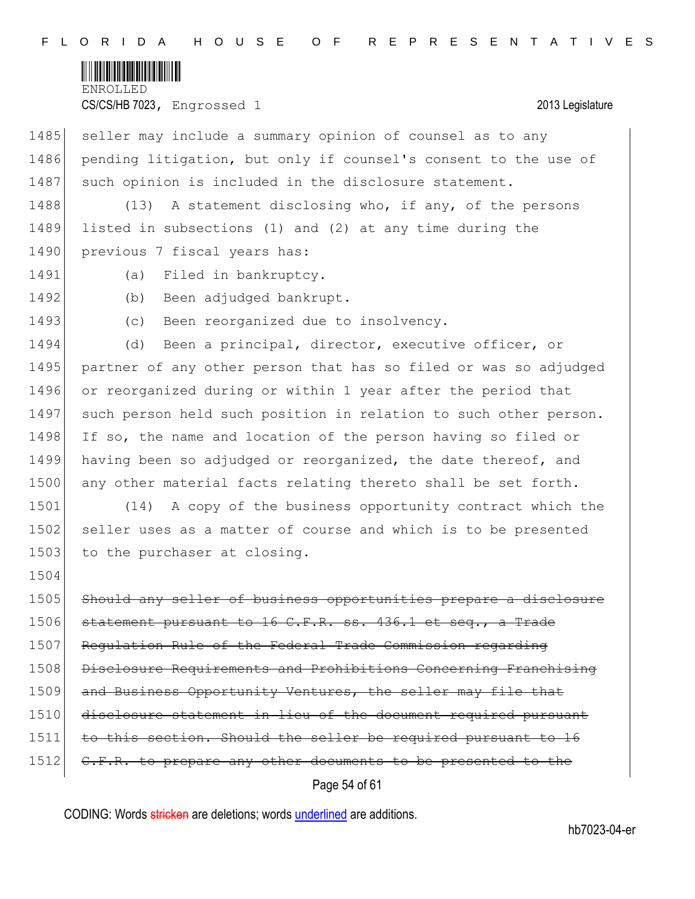

1485 seller may include a summary opinion of counsel as to any 1486 pending litigation, but only if counsel's consent to the use of 1487 such opinion is included in the disclosure statement.

1488 (13) A statement disclosing who, if any, of the persons 1489 listed in subsections (1) and (2) at any time during the 1490 previous 7 fiscal years has:

- 
- 1491 (a) Filed in bankruptcy.
- 

1492 (b) Been adjudged bankrupt.

1493 (c) Been reorganized due to insolvency.

1494 (d) Been a principal, director, executive officer, or 1495 partner of any other person that has so filed or was so adjudged 1496 or reorganized during or within 1 year after the period that 1497 such person held such position in relation to such other person. 1498 If so, the name and location of the person having so filed or 1499 having been so adjudged or reorganized, the date thereof, and 1500 any other material facts relating thereto shall be set forth.

1501 (14) A copy of the business opportunity contract which the 1502 seller uses as a matter of course and which is to be presented 1503 to the purchaser at closing.

1504

1505 Should any seller of business opportunities prepare a disclosure  $1506$  statement pursuant to 16 C.F.R. ss. 436.1 et seq., a Trade 1507 Regulation Rule of the Federal Trade Commission regarding 1508 Disclosure Requirements and Prohibitions Concerning Franchising 1509 and Business Opportunity Ventures, the seller may file that 1510 disclosure statement in lieu of the document required pursuant 1511 to this section. Should the seller be required pursuant to 16 1512 C.F.R. to prepare any other documents to be presented to the

# Page 54 of 61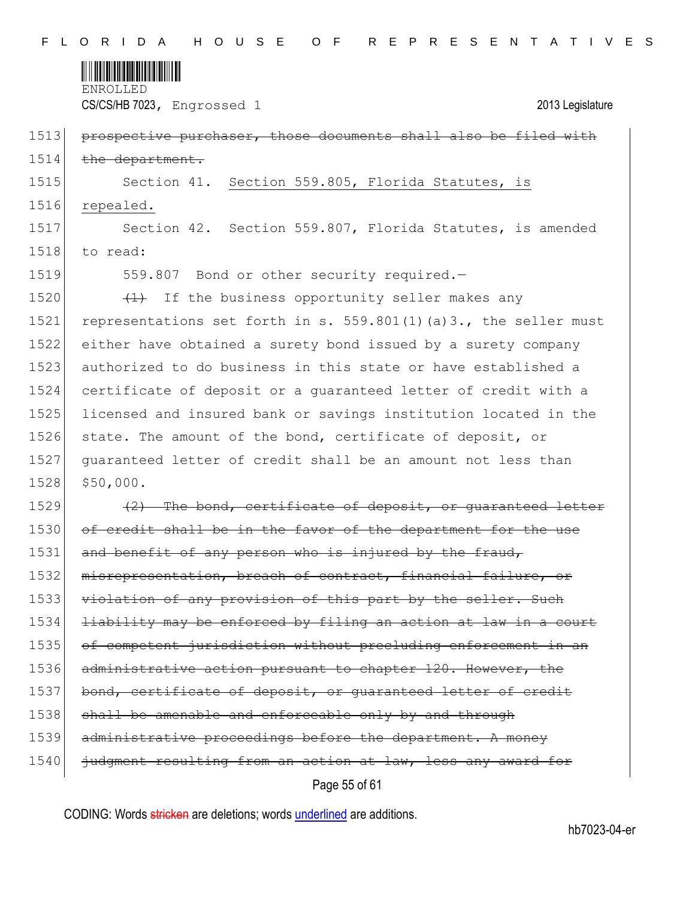

| 1513 | prospective purchaser, those documents shall also be filed with  |
|------|------------------------------------------------------------------|
| 1514 | the department.                                                  |
| 1515 | Section 41. Section 559.805, Florida Statutes, is                |
| 1516 | repealed.                                                        |
| 1517 | Section 42. Section 559.807, Florida Statutes, is amended        |
| 1518 | to read:                                                         |
| 1519 | 559.807 Bond or other security required.-                        |
| 1520 | (1) If the business opportunity seller makes any                 |
| 1521 | representations set forth in s. 559.801(1)(a)3., the seller must |
| 1522 | either have obtained a surety bond issued by a surety company    |
| 1523 | authorized to do business in this state or have established a    |
| 1524 | certificate of deposit or a quaranteed letter of credit with a   |
| 1525 | licensed and insured bank or savings institution located in the  |
| 1526 | state. The amount of the bond, certificate of deposit, or        |
| 1527 | guaranteed letter of credit shall be an amount not less than     |
| 1528 | \$50,000.                                                        |
| 1529 | (2) The bond, certificate of deposit, or quaranteed letter       |
| 1530 | of credit shall be in the favor of the department for the use    |
| 1531 | and benefit of any person who is injured by the fraud,           |
| 1532 | misrepresentation, breach of contract, financial failure, or     |
| 1533 | violation of any provision of this part by the seller. Such      |
| 1534 | liability may be enforced by filing an action at law in a court  |
| 1535 | of competent jurisdiction without precluding enforcement in an   |
| 1536 | administrative action pursuant to chapter 120. However, the      |
| 1537 | bond, certificate of deposit, or guaranteed letter of credit     |
| 1538 | shall be amenable and enforceable only by and through            |
| 1539 | administrative proceedings before the department. A money        |
| 1540 | judgment resulting from an action at law, less any award for     |

Page 55 of 61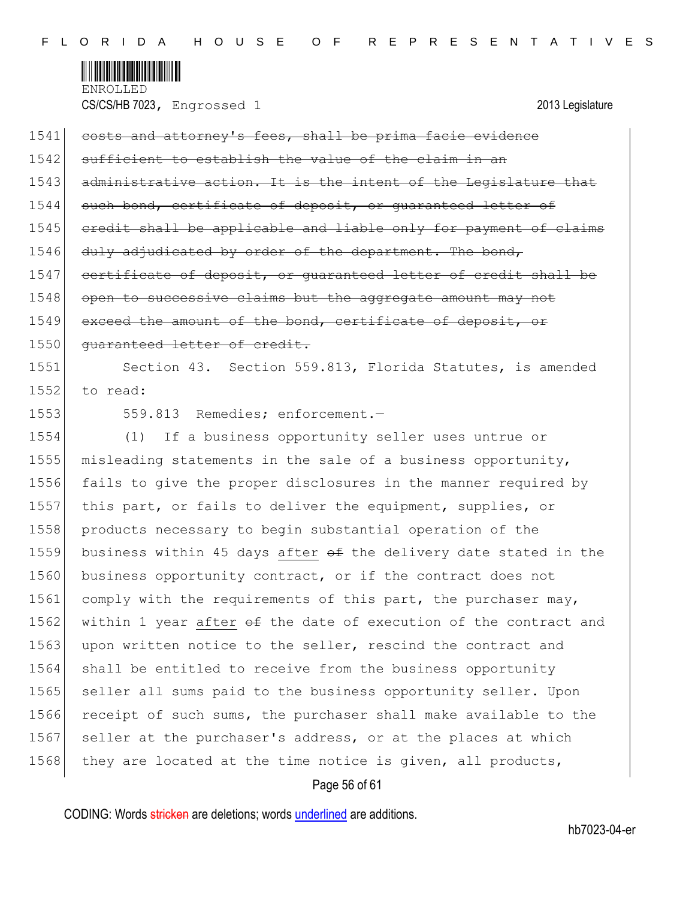

| 1541 | costs and attorney's fees, shall be prima facie evidence         |
|------|------------------------------------------------------------------|
| 1542 | sufficient to establish the value of the claim in an             |
| 1543 | administrative action. It is the intent of the Legislature that  |
| 1544 | such bond, certificate of deposit, or quaranteed letter of       |
| 1545 | eredit shall be applicable and liable only for payment of claims |
| 1546 | duly adjudicated by order of the department. The bond,           |
| 1547 | certificate of deposit, or quaranteed letter of credit shall be  |
| 1548 | open to successive claims but the aggregate amount may not       |
| 1549 | exceed the amount of the bond, certificate of deposit, or        |
| 1550 | quaranteed letter of credit.                                     |
| 1551 | Section 43. Section 559.813, Florida Statutes, is amended        |
| 1552 | to read:                                                         |
| 1553 | 559.813 Remedies; enforcement.-                                  |
| 1554 | (1)<br>If a business opportunity seller uses untrue or           |
| 1555 | misleading statements in the sale of a business opportunity,     |
| 1556 | fails to give the proper disclosures in the manner required by   |
| 1557 | this part, or fails to deliver the equipment, supplies, or       |
| 1558 | products necessary to begin substantial operation of the         |
| 1559 | business within 45 days after of the delivery date stated in the |
| 1560 | business opportunity contract, or if the contract does not       |
| 1561 | comply with the requirements of this part, the purchaser may,    |
| 1562 | within 1 year after of the date of execution of the contract and |
| 1563 | upon written notice to the seller, rescind the contract and      |
| 1564 | shall be entitled to receive from the business opportunity       |
| 1565 | seller all sums paid to the business opportunity seller. Upon    |
| 1566 | receipt of such sums, the purchaser shall make available to the  |
| 1567 | seller at the purchaser's address, or at the places at which     |
| 1568 | they are located at the time notice is given, all products,      |
|      |                                                                  |

# Page 56 of 61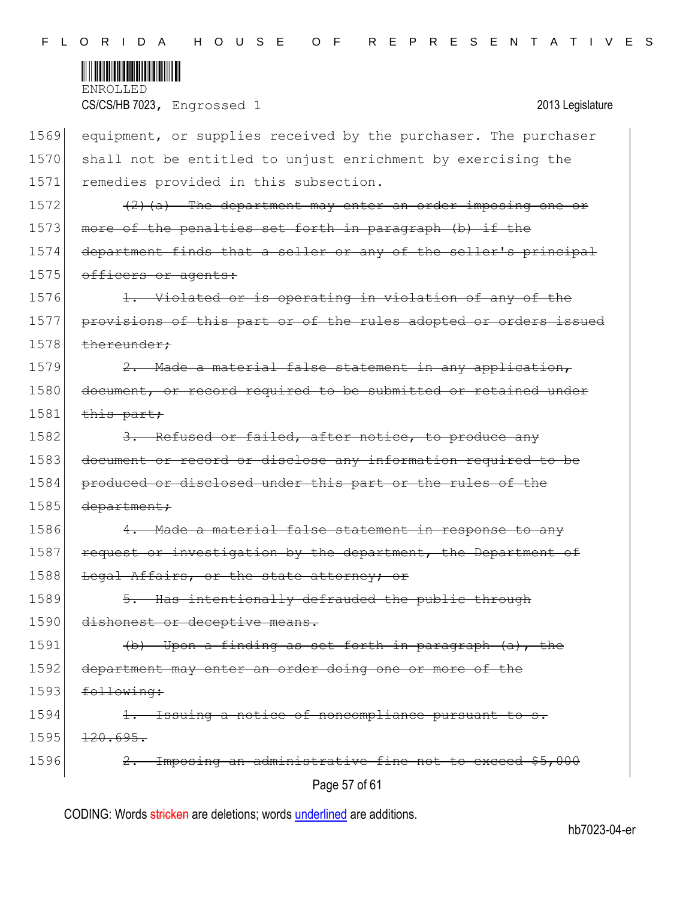

| 1569 | equipment, or supplies received by the purchaser. The purchaser  |
|------|------------------------------------------------------------------|
| 1570 | shall not be entitled to unjust enrichment by exercising the     |
| 1571 | remedies provided in this subsection.                            |
| 1572 | $(2)$ (a) The department may enter an order imposing one or      |
| 1573 | more of the penalties set forth in paragraph (b) if the          |
| 1574 | department finds that a seller or any of the seller's principal  |
| 1575 | officers or agents:                                              |
| 1576 | 1. Violated or is operating in violation of any of the           |
| 1577 | provisions of this part or of the rules adopted or orders issued |
| 1578 | thereunder;                                                      |
| 1579 | 2. Made a material false statement in any application,           |
| 1580 | document, or record required to be submitted or retained under   |
| 1581 | this part;                                                       |
| 1582 | 3. Refused or failed, after notice, to produce any               |
| 1583 | document or record or disclose any information required to be    |
| 1584 | produced or disclosed under this part or the rules of the        |
| 1585 | department;                                                      |
| 1586 | 4. Made a material false statement in response to any            |
| 1587 | request or investigation by the department, the Department of    |
| 1588 | Legal Affairs, or the state attorney; or                         |
| 1589 | 5. Has intentionally defrauded the public through                |
| 1590 | dishonest or deceptive means.                                    |
| 1591 | (b) Upon a finding as set forth in paragraph (a), the            |
| 1592 | department may enter an order doing one or more of the           |
| 1593 | following:                                                       |
| 1594 | Issuing a notice of noncompliance pursuant to s.                 |
| 1595 | 120.695.                                                         |
| 1596 | 2. Imposing an administrative fine not to exceed \$5,000         |
|      | Page 57 of 61                                                    |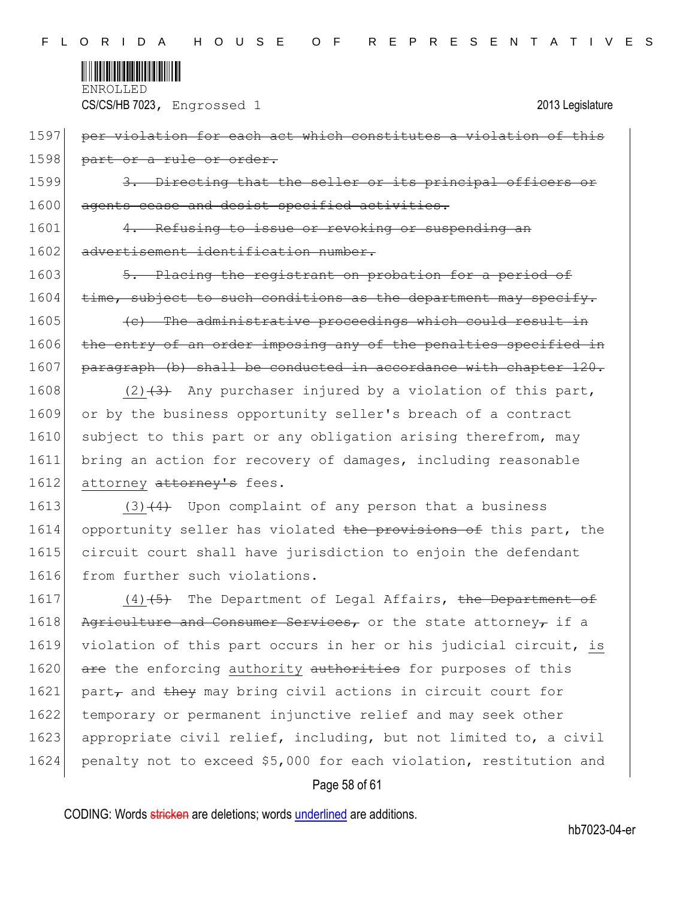

1597 per violation for each act which constitutes a violation of this 1598 part or a rule or order.

1599 3. Directing that the seller or its principal officers 1600 agents cease and desist specified activities.

1601 4. Refusing to issue or revoking or suspending an 1602 advertisement identification number.

1603 5. Placing the registrant on probation for a period of  $1604$  time, subject to such conditions as the department may specify.

 $1605$  (c) The administrative proceedings which could result in 1606 the entry of an order imposing any of the penalties specified in 1607 paragraph (b) shall be conducted in accordance with chapter 120.

1608 (2) $(3)$  Any purchaser injured by a violation of this part, 1609 or by the business opportunity seller's breach of a contract 1610 subject to this part or any obligation arising therefrom, may 1611 bring an action for recovery of damages, including reasonable 1612 attorney attorney's fees.

1613 (3) $(4)$  Upon complaint of any person that a business 1614 opportunity seller has violated the provisions of this part, the 1615 circuit court shall have jurisdiction to enjoin the defendant 1616 from further such violations.

1617 (4)<del>(5)</del> The Department of Legal Affairs, the Department of 1618 Agriculture and Consumer Services, or the state attorney, if a 1619 violation of this part occurs in her or his judicial circuit, is 1620 are the enforcing authority authorities for purposes of this 1621 part<sub> $\tau$ </sub> and they may bring civil actions in circuit court for 1622 temporary or permanent injunctive relief and may seek other 1623 appropriate civil relief, including, but not limited to, a civil 1624 penalty not to exceed \$5,000 for each violation, restitution and

# Page 58 of 61

CODING: Words stricken are deletions; words underlined are additions.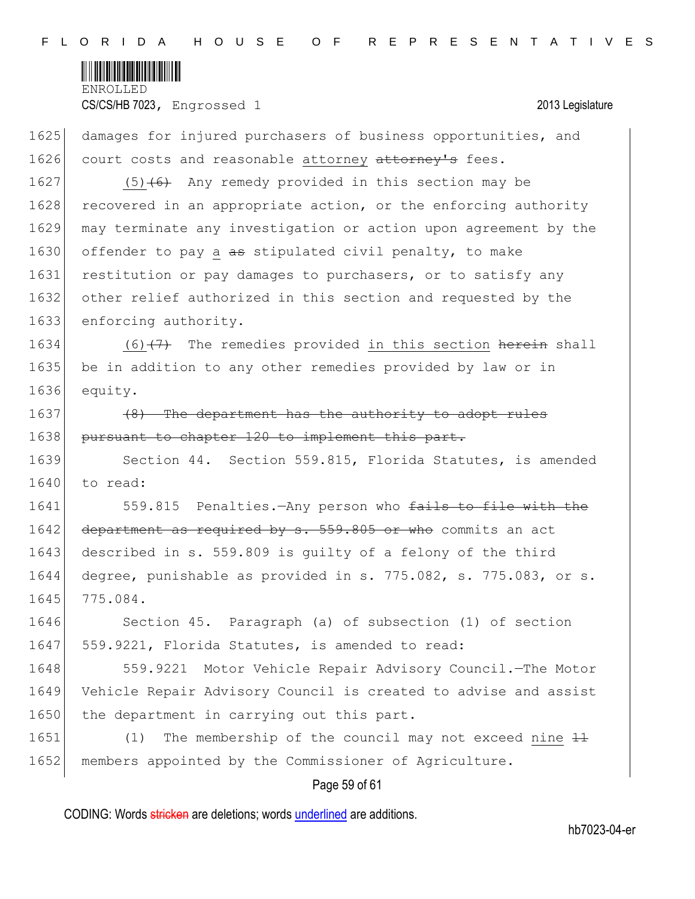

1625 damages for injured purchasers of business opportunities, and 1626 court costs and reasonable attorney attorney's fees.

1627 (5) $(6)$  Any remedy provided in this section may be 1628 recovered in an appropriate action, or the enforcing authority 1629 may terminate any investigation or action upon agreement by the 1630 offender to pay a as stipulated civil penalty, to make 1631 restitution or pay damages to purchasers, or to satisfy any 1632 other relief authorized in this section and requested by the 1633 enforcing authority.

1634  $(6)$  (7) The remedies provided in this section herein shall 1635 be in addition to any other remedies provided by law or in 1636 equity.

 $1637$  (8) The department has the authority to adopt rules 1638 pursuant to chapter 120 to implement this part.

1639 Section 44. Section 559.815, Florida Statutes, is amended 1640 to read:

1641 559.815 Penalties.—Any person who fails to file with the 1642 department as required by s. 559.805 or who commits an act 1643 described in s. 559.809 is quilty of a felony of the third 1644 degree, punishable as provided in s. 775.082, s. 775.083, or s. 1645 775.084.

1646 Section 45. Paragraph (a) of subsection (1) of section 1647 | 559.9221, Florida Statutes, is amended to read:

1648 559.9221 Motor Vehicle Repair Advisory Council.—The Motor 1649 Vehicle Repair Advisory Council is created to advise and assist 1650 the department in carrying out this part.

1651 (1) The membership of the council may not exceed nine  $\pm 1$ 1652 members appointed by the Commissioner of Agriculture.

# Page 59 of 61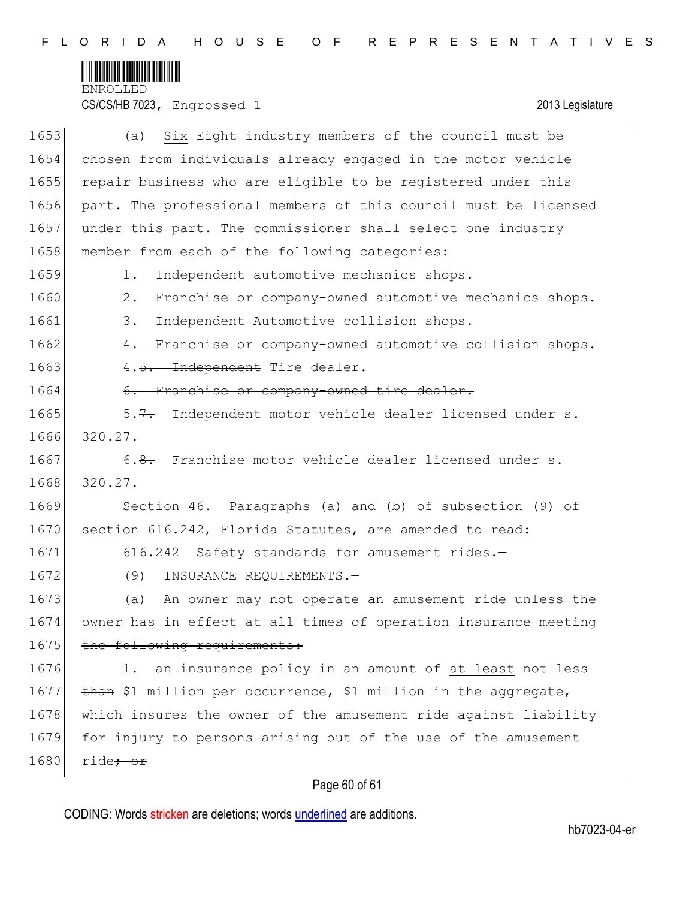

CS/CS/HB 7023, Engrossed 1 2013 Legislature

| 1653 | Six Eight industry members of the council must be<br>(a)         |
|------|------------------------------------------------------------------|
| 1654 | chosen from individuals already engaged in the motor vehicle     |
| 1655 | repair business who are eligible to be registered under this     |
| 1656 | part. The professional members of this council must be licensed  |
| 1657 | under this part. The commissioner shall select one industry      |
| 1658 | member from each of the following categories:                    |
| 1659 | Independent automotive mechanics shops.<br>1.                    |
| 1660 | Franchise or company-owned automotive mechanics shops.<br>2.     |
| 1661 | Independent Automotive collision shops.<br>3.                    |
| 1662 | 4. Franchise or company-owned automotive collision shops.        |
| 1663 | 4.5. Independent Tire dealer.                                    |
| 1664 | 6. Franchise or company-owned tire dealer.                       |
| 1665 | 5.7. Independent motor vehicle dealer licensed under s.          |
| 1666 | 320.27.                                                          |
| 1667 | 6.8. Franchise motor vehicle dealer licensed under s.            |
| 1668 | 320.27.                                                          |
| 1669 | Section 46. Paragraphs (a) and (b) of subsection (9) of          |
| 1670 | section 616.242, Florida Statutes, are amended to read:          |
| 1671 | 616.242 Safety standards for amusement rides.-                   |
| 1672 | (9)<br>INSURANCE REQUIREMENTS.-                                  |
| 1673 | An owner may not operate an amusement ride unless the<br>(a)     |
| 1674 | owner has in effect at all times of operation insurance meeting  |
| 1675 | the following requirements:                                      |
| 1676 | an insurance policy in an amount of at least not less<br>$\pm$ . |
| 1677 | than \$1 million per occurrence, \$1 million in the aggregate,   |
| 1678 | which insures the owner of the amusement ride against liability  |
| 1679 | for injury to persons arising out of the use of the amusement    |
| 1680 | ride <del>; or</del>                                             |

# Page 60 of 61